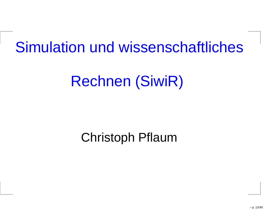## Simulation und wissenschaftliches

# Rechnen (SiwiR)

#### Christoph Pflaum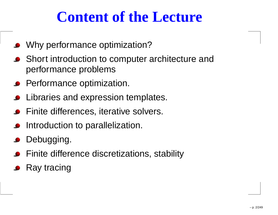## **Content of the Lecture**

- Why performance optimization?
- **•** Short introduction to computer architecture and performance problems
- **•** Performance optimization.
- Libraries and expression templates.
- Finite differences, iterative solvers.
- Introduction to parallelization.
- Debugging.
- **•** Finite difference discretizations, stability
- Ray tracing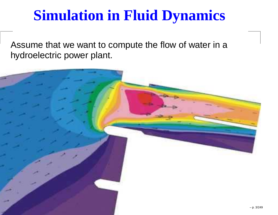## **Simulation in Fluid Dynamics**

Assume that we want to compute the flow of water in <sup>a</sup>hydroelectric power plant.

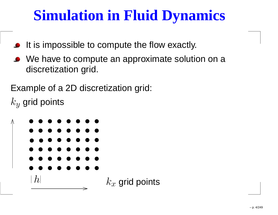## **Simulation in Fluid Dynamics**

- It is impossible to compute the flow exactly.
- We have to compute an approximate solution on a discretization grid.

Example of <sup>a</sup> 2D discretization grid:

 $k \$  $\overline{y}$  grid points

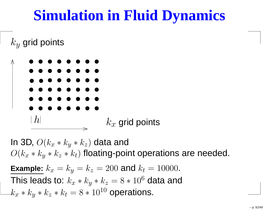## **Simulation in Fluid Dynamics**

 $\,k$  $\overline{y}$  grid points



In 3D,  $O(k_x * k_y * k_z)$  data and  $O(k_x*k_y*k_z*k_t)$  floating-point operations are needed. **Example:**  $k_x=k_y=k_z$ This leads to:  $k_x * k_y * k_z = 8 * 10$  $z=200$  and  $k_t$  $t = 10000$ .  $z = 8*10^6$  data and

 $k_x*k_y*k_z*k_t = 8*10^{\frac{1}{2}}$  $_t = 8 *$  $\,\ast\, 10^{10}$  operations.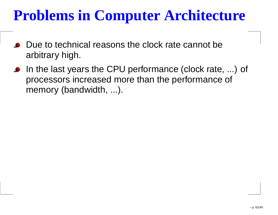## **Problems in Computer Architecture**

- Due to technical reasons the clock rate cannot bearbitrary high.
- In the last years the CPU performance (clock rate, ...) of processors increased more than the performance of memory (bandwidth, ...).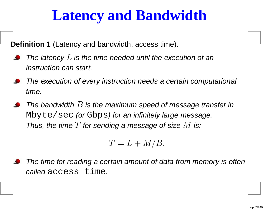## **Latency and Bandwidth**

**Definition 1** (Latency and bandwidth, access time)**.**

- The latency  $L$  is the time needed until the execution of an<br>. instruction can start.
- The execution of every instruction needs <sup>a</sup> certain computational time.
- The bandwidth  $B$  is the maximum speed of message transfer in  $\mathbb{Z}^1$ <code>Mbyte/sec</code> (or <code>Gbps)</code> for an infinitely large message. Thus, the time  $T$  for sending a message of size  $M$  is:

 $T=L+ M/B.$ 

The time for reading <sup>a</sup> certain amount of data from memory is often*called* access time.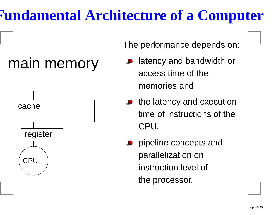## **Fundamental Architecture of <sup>a</sup> Computer**





The performance depends on:

- latency and bandwidth oraccess time of thememories and
- the latency and execution time of instructions of theCPU.
- pipeline concepts andparallelization oninstruction level of the processor.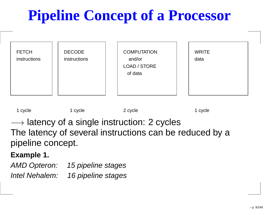# **Pipeline Concept of <sup>a</sup> Processor**





→ latency of a single instruction: 2 cycles<br>The latency of several instructions can he r The latency of several instructions can be reduced by <sup>a</sup>pipeline concept.

#### **Example 1.**

AMD Opteron: 15 pipeline stagesIntel Nehalem: 16 pipeline stages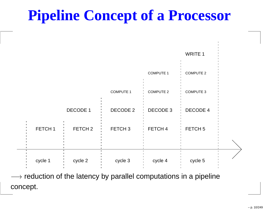## **Pipeline Concept of <sup>a</sup> Processor**



—→ reduction of the latency by parallel computations in a pipeline<br>esescent concept.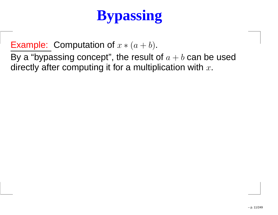# **Bypassing**

Example: Computation of  $x*(a+b)$ .

By a "bypassing concept", the result of  $a+b$  can be used<br>directly ofter computing it for a multiplication with directly after computing it for a multiplication with  $x.$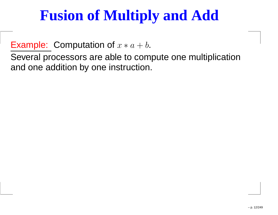## **Fusion of Multiply and Add**

Example: Computation of  $x*a+b.$ 

 Several processors are able to compute one multiplicationand one addition by one instruction.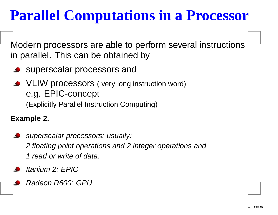## **Parallel Computations in <sup>a</sup> Processor**

Modern processors are able to perform several instructionsin parallel. This can be obtained by

- **SUPERSCALAR PROCESSORS AND SUPERSCALAR PROCESSORS AND**
- VLIW processors ( very long instruction word) e.g. EPIC-concept (Explicitly Parallel Instruction Computing)

**Example 2.**

- **Superscalar processors: usually:**  $\blacksquare$ <sup>2</sup> floating point operations and <sup>2</sup> integer operations and<sup>1</sup> read or write of data.
- Itanium 2: EPIC
- Radeon R600: GPU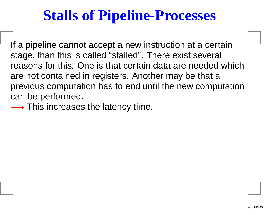## **Stalls of Pipeline-Processes**

If <sup>a</sup> pipeline cannot accept <sup>a</sup> new instruction at <sup>a</sup> certainstage, than this is called "stalled". There exist several reasons for this. One is that certain data are needed whichare not contained in registers. Another may be that <sup>a</sup> previous computation has to end until the new computationcan be performed.

 $\longrightarrow$  This increases the latency time.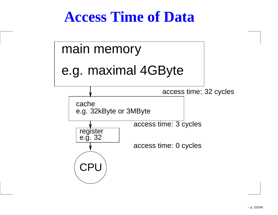## **Access Time of Data**

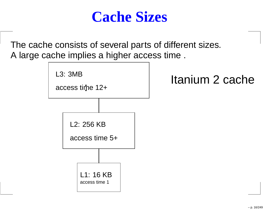

The cache consists of several parts of different sizes. A large cache implies <sup>a</sup> higher access time .

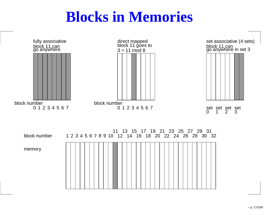## **Blocks in Memories**

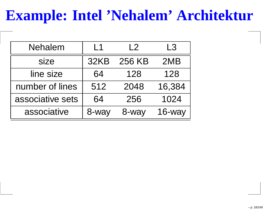## **Example: Intel 'Nehalem' Architektur**

| <b>Nehalem</b>   | L1    | $\begin{array}{c} \n \big\vert 2 \big\vert \n \end{array}$ | L3     |
|------------------|-------|------------------------------------------------------------|--------|
| size             | 32KB  | 256 KB                                                     | 2MB    |
| line size        | 64    | 128                                                        | 128    |
| number of lines  | 512   | 2048                                                       | 16,384 |
| associative sets | 64    | 256                                                        | 1024   |
| associative      | 8-way | 8-way                                                      | 16-way |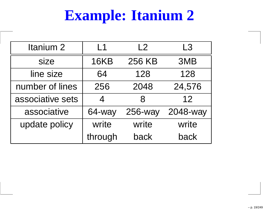## **Example: Itanium 2**

| Itanium <sub>2</sub> | l 1            | L2      | L3       |
|----------------------|----------------|---------|----------|
| size                 | <b>16KB</b>    | 256 KB  | 3MB      |
| line size            | 64             | 128     | 128      |
| number of lines      | 256            | 2048    | 24,576   |
| associative sets     | $\overline{4}$ | 8       | 12       |
| associative          | 64-way         | 256-way | 2048-way |
| update policy        | write          | write   | write    |
|                      | through        | back    | back     |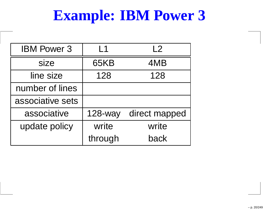## **Example: IBM Power 3**

| <b>IBM Power 3</b> | l 1            | L2            |
|--------------------|----------------|---------------|
| size               | 65KB           | 4MB           |
| line size          | 128            | 128           |
| number of lines    |                |               |
| associative sets   |                |               |
| associative        | <b>128-way</b> | direct mapped |
| update policy      | write          | write         |
|                    | through        | back          |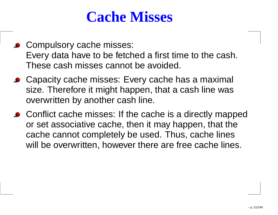### **Cache Misses**

- **Compulsory cache misses:** Every data have to be fetched <sup>a</sup> first time to the cash. These cash misses cannot be avoided.
- Capacity cache misses: Every cache has a maximal size. Therefore it might happen, that <sup>a</sup> cash line wasoverwritten by another cash line.
- Conflict cache misses: If the cache is a directly mapped or set associative cache, then it may happen, that the cache cannot completely be used. Thus, cache lineswill be overwritten, however there are free cache lines.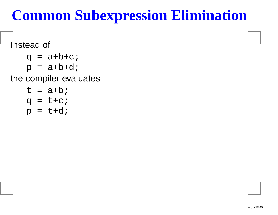## **Common Subexpression Elimination**

#### Instead of

- $q = a+b+c;$
- $p = a + b + d$ ;

#### the compiler evaluates

 $t = a+b$ ;  $q = t + c$ ;  $p = t + d$ ;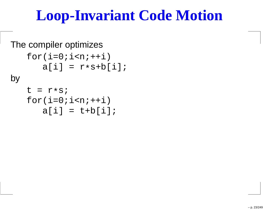## **Loop-Invariant Code Motion**

```
The compiler optimizesfor(i=0;i<n++i)
a[i] = r
*s+b[i];byt = r
*s;
for(i=0;i<n;++i)a[i] = t + b[i];
```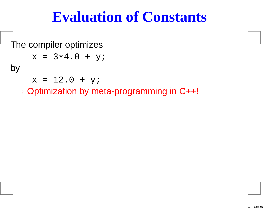### **Evaluation of Constants**

The compiler optimizes

$$
x = 3*4.0 + yi
$$

by

 $x = 12.0 + yi$ 

 $\longrightarrow$  Optimization by meta-programming in C++!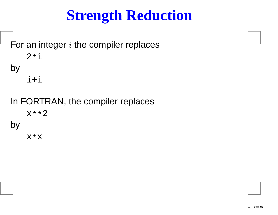## **Strength Reduction**

For an integer  $i$  the compiler replaces 2\*ibyi+i

In FORTRAN, the compiler replacesx\*\*2by

x\*x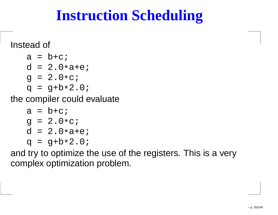## **Instruction Scheduling**

#### Instead of

 $a = b + c$ ; <sup>d</sup> <sup>=</sup> 2.0 \*a+e; $g = 2.0 * c;$ <sup>q</sup> <sup>=</sup> g+b \*2.0;

the compiler could evaluate

```
a = b + c;
g = 2.0
*c;
d = 2.0
*a+e;
q = g+b
*2.0;
```
 and try to optimize the use of the registers. This is <sup>a</sup> verycomplex optimization problem.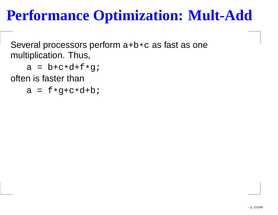## **Performance Optimization: Mult-Add**

Several processors perform a+b \*c as fast as one multiplication. Thus,

```
a = b+c
*d+f*g;
```
often is faster than

<sup>a</sup> <sup>=</sup> <sup>f</sup> \*g+c\*d+b;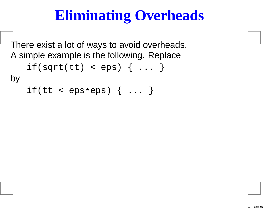## **Eliminating Overheads**

There exist <sup>a</sup> lot of ways to avoid overheads. A simple example is the following. Replace $if(sqrt(tt) < eps) { ... }$ by

if(tt <sup>&</sup>lt; eps \*eps) { ... }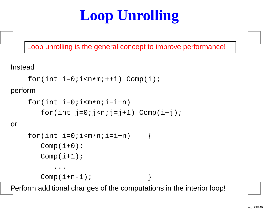# **Loop Unrolling**

Loop unrolling is the general concept to improve performance!

Instead

```
for(int i=0; i<n*m; ++i) Comp(i);
```
perform

```
for(int i=0; i<m*n; i=i+n)
   for(int j=0;j=n;j=j+1) Comp(i+j);
```
or

```
for(int i=0; i<m*n; i=i+n)
   Comp(i+0);Comp(i+1);...Comp(i+n-1);
```
Perform additional changes of the computations in the interior loop!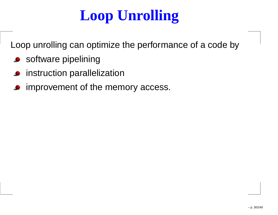# **Loop Unrolling**

Loop unrolling can optimize the performance of <sup>a</sup> code by

- **Software pipelining**
- instruction parallelization
- improvement of the memory access.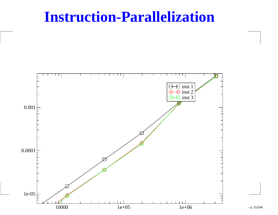#### **Instruction-Parallelization**



– p. 31/249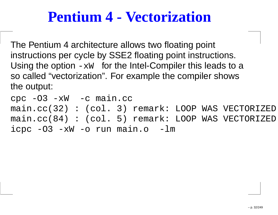### **Pentium 4 - Vectorization**

The Pentium <sup>4</sup> architecture allows two floating point instructions per cycle by SSE2 floating point instructions. Using the option  $-xw$  for the Intel-Compiler this leads to a so called "vectorization". For example the compiler showsthe output:

cpc -O3 -xW -c main.cc main.cc(32) : (col. 3) remark: LOOP WAS VECTORIZED. main.cc(84) : (col. 5) remark: LOOP WAS VECTORIZED. icpc -O3 -xW -o run main.o -lm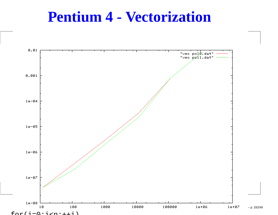#### **Pentium 4 - Vectorization**

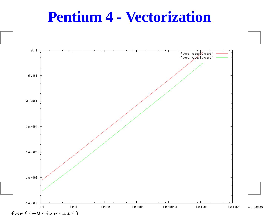#### **Pentium 4 - Vectorization**

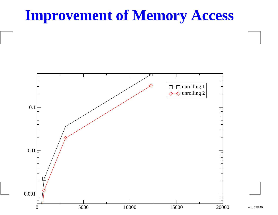### **Improvement of Memory Access**



– p. 35/249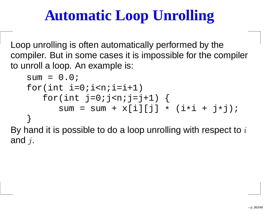## **Automatic Loop Unrolling**

Loop unrolling is often automatically performed by the compiler. But in some cases it is impossible for the compilerto unroll <sup>a</sup> loop. An example is:

```
sum = 0.0;
    for(int i=0:i<n;i=i+1)for(int j=0; j=n; j=j+1) {
               \texttt{sum} = \texttt{sum} + \texttt{x[i][j]} * (\texttt{i} * \texttt{i} + \texttt{j} * \texttt{j});}<br>}
By hand it is possible to do a loop unrolling with respect to iand j.
```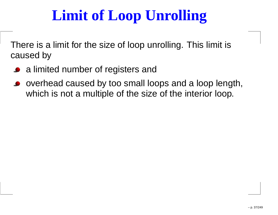# **Limit of Loop Unrolling**

There is <sup>a</sup> limit for the size of loop unrolling. This limit iscaused by

- <sup>a</sup> limited number of registers and
- overhead caused by too small loops and <sup>a</sup> loop length, which is not a multiple of the size of the interior loop.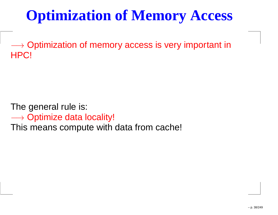# **Optimization of Memory Access**

—→ Optimization of memory access is very important in<br>HPCI HPC!

The general rule is:

—→ Optimize data locality!<br>This means compute with

This means compute with data from cache!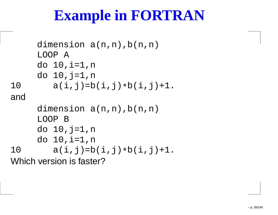## **Example in FORTRAN**

```
dimension a(n,n), b(n,n)LOOP A
     do 10,i=1,n
     do 10,j=1,n
10 a(i,j)=b(i,j)
*b(i,j)+1.anddimension a(n,n), b(n,n)LOOP B
     do 10,j=1,n
     do 10,i=1,n
10 a(i,j)=b(i,j)
*b(i,j)+1.Which version is faster?
```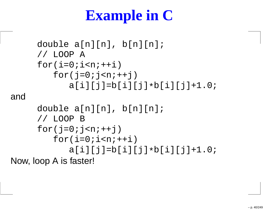# **Example in C**

```
double a[n][n], b[n][n];
     // LOOP A
     for(i=0;i< n{i++i})
for(j=0;j<n;++j)
a[i][j]=b[i][j]*b[i][j]+1.0;anddouble a[n][n], b[n][n];
     // LOOP B
     for(j=0; j<n++j)
for(i=0;i<n;++i)
a[i][j]=b[i][j]*b[i][j]+1.0;Now, loop A is faster!
```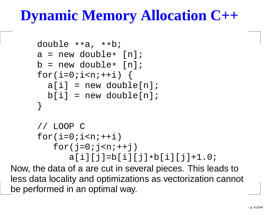## **Dynamic Memory Allocation C++**

```
double **a, **b;
a = new double
* [n];
b = new double
* [n];
for(i=0;i<n++i) {
  a[i] = new double[n];
 b[i] = new double[n];
}// LOOP C
for(i=0;i< n{i++i})
for(j=0;j<n;++j)
a[i][j]=b[i][j]*b[i][j]+1.0;
```
 Now, the data of a are cut in several pieces. This leads to less data locality and optimizations as vectorization cannot be performed in an optimal way.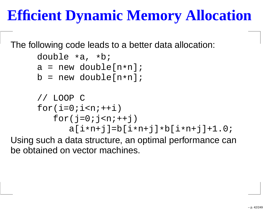# **Efficient Dynamic Memory Allocation**

The following code leads to <sup>a</sup> better data allocation:

```
double *a, *b;

a = new double[n
*n];
b = new double[n
*n];// LOOP C
for(i=0;i< n{i++i})
for(j=0;j<n;++j)
a[i*n+j]=b[i*n+j]*b[i*n+j]+1.0;
```
 Using such <sup>a</sup> data structure, an optimal performance canbe obtained on vector machines.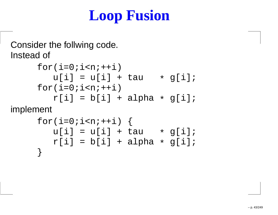# **Loop Fusion**

#### Consider the follwing code. Instead of

```
for(i=0;i< n{i++i})
u[i] = u[i] + tau * g[i];
for(i=0;i< n{i++i})r[i] = b[i] + alpha * g[i];
```
implement

```
for(i=0;i<n++i) {
   u[i] = u[i] + tau * g[i];r[i] = b[i] + alpha * g[i];}
```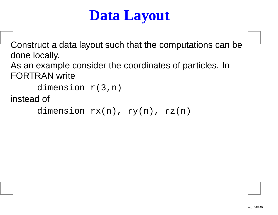### **Data Layout**

Construct <sup>a</sup> data layout such that the computations can bedone locally.

As an example consider the coordinates of particles. InFORTRAN write

```
dimension r(3,n)
```
instead of

dimension  $rx(n)$ ,  $ry(n)$ ,  $rz(n)$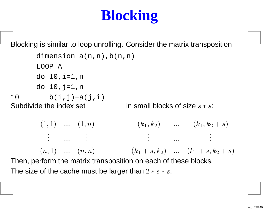# **Blocking**

Blocking is similar to loop unrolling. Consider the matrix transposition

dimension  $a(n,n)$ ,  $b(n,n)$ LOOP <sup>A</sup> do 10,i=1,n do  $10$ ,  $j=1$ , n 10 b(i,j)= $a(j,i)$ Subdivide the index set  $(1, 1)$  ...  $(1, n)$ . . . ... . . . $(n, 1)$  ...  $(n, n)$   $(k_1 + s, k_2)$  ...  $(k_1 + s, k_2 + s)$ in small blocks of size  $s\ast s$ :  $(k_1, k_2)$  ...  $(k_1, k_2 + s)$  ... Then, perform the matrix transposition on each of these blocks. The size of the cache must be larger than  $2*s*s$ .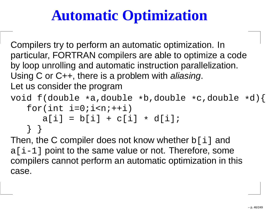# **Automatic Optimization**

Compilers try to perform an automatic optimization. In particular, FORTRAN compilers are able to optimize <sup>a</sup> codeby loop unrolling and automatic instruction parallelization. Using C or C++, there is a problem with *aliasing*. Let us consider the program

```

void f(double
*a,double*b,double*c,double*d){
for(int i=0;i<n;++i)
      a[i] = b[i] + c[i]
* d[i];
   } }
```
Then, the C compiler does not know whether **b**[i] and a [i-1] point to the same value or not. Therefore, some compilers cannot perform an automatic optimization in thiscase.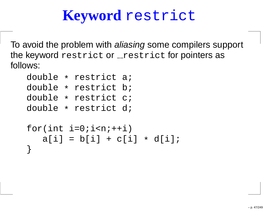# **Keyword** restrict

To avoid the problem with *aliasing* some compilers support the keyword restrict or \_restrict for pointers as<br>' follows:

```
double * restrict a;<br>deuble : restrict b;
double * restrict b;<br>deuble : restrict s;
double * restrict c;<br>deuble : restrict d;
double * restrict d;
for(int i=0;i<n;+i)
     a[i] = b[i] + c[i] * d[i];}<br>}
```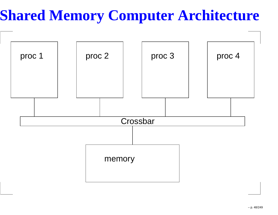# **Shared Memory Computer Architecture**

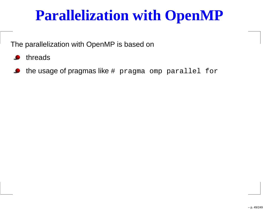### **Parallelization with OpenMP**

The parallelization with OpenMP is based on

- threads
- the usage of pragmas like # pragma omp parallel for  $\bullet$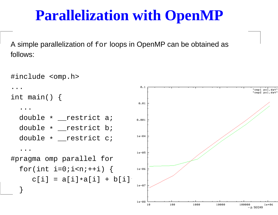#### **Parallelization with OpenMP**

A simple parallelization of  ${\tt for}$  loops in OpenMP can be obtained as follows:

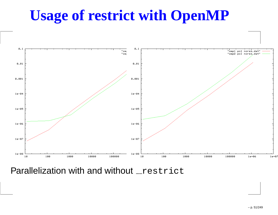# **Usage of restrict with OpenMP**



Parallelization with and without restrict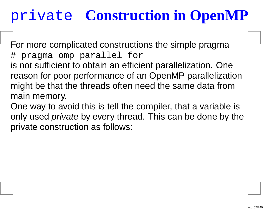# private **Construction in OpenMP**

For more complicated constructions the simple pragma# pragma omp parallel for is not sufficient to obtain an efficient parallelization. One

 reason for poor performance of an OpenMP parallelizationmight be that the threads often need the same data frommain memory.

One way to avoid this is tell the compiler, that <sup>a</sup> variable isonly used *private* by every thread. This can be done by the private construction as follows: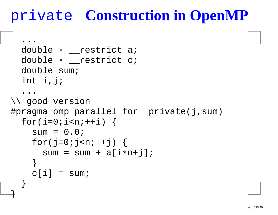# private **Construction in OpenMP**

```
...double * __restrict a;<br>double : _____________________
  double * __restrict c;<br>deuble = .....
  double sum;
  int i,j;
   ...
\\ good version
#pragma omp parallel for private(j,sum)
  for(i=0;i<n++i) {
     sum = 0.0;
     for(j=0;j<n;++j) {
        sum = sum + a[i*n+j];}<br>}
     c[i] = sum;}<br>}
```
}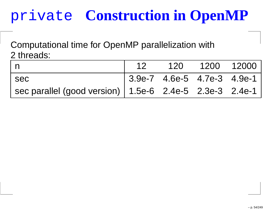# private **Construction in OpenMP**

Computational time for OpenMP parallelization with2 threads:

|                                                             | 12 |                                | 120 1200 12000 |  |
|-------------------------------------------------------------|----|--------------------------------|----------------|--|
| l sec                                                       |    | $ 3.9e-7 4.6e-5 4.7e-3 4.9e-1$ |                |  |
| sec parallel (good version)   $1.5e-6$ 2.4e-5 2.3e-3 2.4e-1 |    |                                |                |  |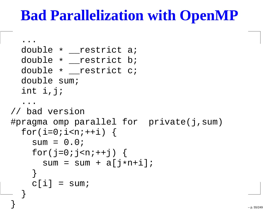#### **Bad Parallelization with OpenMP**

```
...
double* __restrict a;
   double * __restrict b;<br>double : ____________________
   double * __restrict c;<br>deuble = .....

double sum;
   int i,j;
    . .
// bad version<br>..
#pragma omp parallel for private(j,sum)
   for(i=0;i<n++i) {
      sum = 0.0;
      for(j=0;j < n; + + j) {
          \texttt{sum} = \texttt{sum} + \texttt{a}[\texttt{j} * \texttt{n} + \texttt{i}];}<br>}
      c[i] = sum;}<br>}
```
}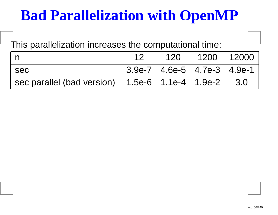## **Bad Parallelization with OpenMP**

This parallelization increases the computational time:

|     | 12                             | 120 1200 12000 |  |
|-----|--------------------------------|----------------|--|
| sec | $ 3.9e-7 4.6e-5 4.7e-3 4.9e-1$ |                |  |
|     |                                |                |  |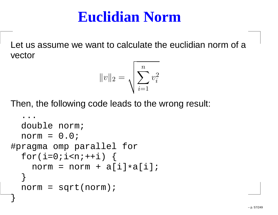#### **Euclidian Norm**

Let us assume we want to calculate the euclidian norm of <sup>a</sup>vector

$$
||v||_2 = \sqrt{\sum_{i=1}^{n} v_i^2}
$$

Then, the following code leads to the wrong result:

```
. .

double norm;
  norm = 0.0;#pragma omp parallel for
  for(i=0;i<n++i) {
    norm = norm + a[i]*a[i];}<br>}
  norm = sqrt(norm);
}<br>}
```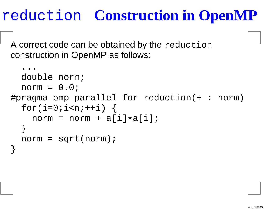# reduction **Construction in OpenMP**

A correct code can be obtained by the reduction construction in OpenMP as follows:

```
. .

double norm;
  norm = 0.0;#pragma omp parallel for reduction(+ : norm)
  for(i=0;i=n;++i) {
    norm = norm + a[i]*a[i];}<br>}
  norm = sqrt(norm);
}
```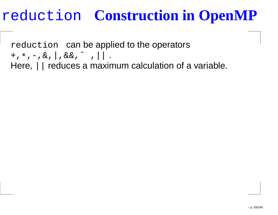# reduction **Construction in OpenMP**

reduction can be applied to the operators  $+$ ,  $*$ ,  $-$ ,  $\&$ ,  $|$ ,  $\&$  $\&$ ,  $^{\sim}$ ,  $|$   $|$ . Here, || reduces a maximum calculation of a variable.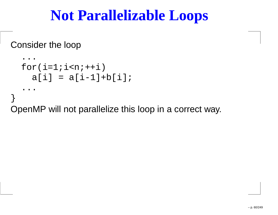#### **Not Parallelizable Loops**

Consider the loop

```
...
for(i=1;i<n;++i)
a[i] = a[i-1]+b[i];
   ...}
OpenMP will not parallelize this loop in a correct way.
```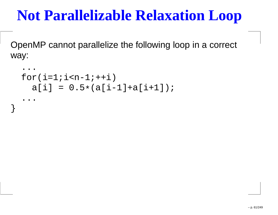### **Not Parallelizable Relaxation Loop**

OpenMP cannot parallelize the following loop in <sup>a</sup> correct way:

```
...
for(i=1;i<n-1;++i)
a[i] = 0.5
*(a[i-1]+a[i+1]);...
```
}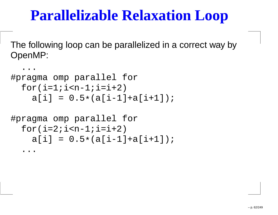### **Parallelizable Relaxation Loop**

The following loop can be parallelized in <sup>a</sup> correct way byOpenMP:

```
...
#pragma omp parallel for
  for(i=1:i=n-1;i=i+2)
a[i] = 0.5
*(a[i-1]+a[i+1]);#pragma omp parallel for
  for(i=2;i=n-1;i=i+2)
a[i] = 0.5
*(a[i-1]+a[i+1]);...
```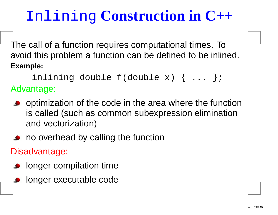# Inlining **Construction in C++**

The call of <sup>a</sup> function requires computational times. To avoid this problem <sup>a</sup> function can be defined to be inlined. **Example:**

inlining double f(double x) { ... }; Advantage:

- o optimization of the code in the area where the function is called (such as common subexpression eliminationand vectorization)
- no overhead by calling the function

Disadvantage:

- **o** longer compilation time
- **o** longer executable code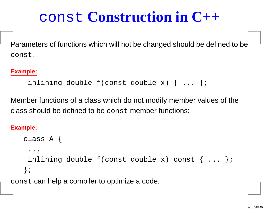# const **Construction in C++**

Parameters of functions which will not be changed should be defined to beconst.

#### **Example:**

```
inlining double f(const double x) { ... };
```
Member functions of <sup>a</sup> class which do not modify member values of the $\boldsymbol{\mathsf{class}}$  should be defined to be  $\boldsymbol{\mathsf{const}}$  member functions:

#### **Example:**

```
class A {
 ...inlining double f (const double x) const \{ \ldots \};
};
```
const can help <sup>a</sup> compiler to optimize <sup>a</sup> code.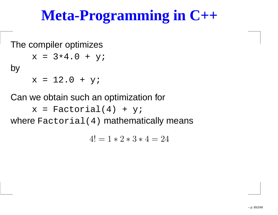## **Meta-Programming in C++**

The compiler optimizes

$$
x = 3*4.0 + yi
$$

by

 $x = 12.0 + y;$ 

Can we obtain such an optimization for

 $x = Factorial(4) + yi$ 

where  $\texttt{Factorial(4)}$  mathematically means

 $4! = 1 * 2 * 3 * 4 = 24$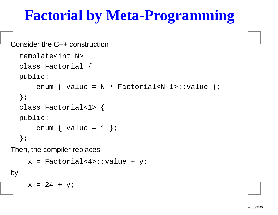## **Factorial by Meta-Programming**

```
Consider the C++ construction
```

```
template<int N>
class Factorial {
public:enum { value = N
* Factorial<N-1>::value };
};class Factorial<1> {
public:
enum { value = 1 };
};
```
Then, the compiler replaces

```
x = Factorial < 4>::value + y;
```
by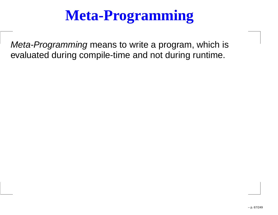# **Meta-Programming**

Meta-Programming means to write a program, which is evaluated during compile-time and not during runtime.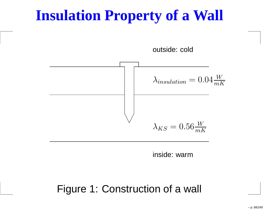#### **Insulation Property of <sup>a</sup> Wall**



inside: warm

Figure 1: Construction of <sup>a</sup> wall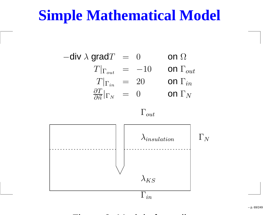#### **Simple Mathematical Model**

 $-$ div  $\lambda$  grad $T$  = 0 on  $T|_{\Gamma_{out}}\;\;=\;\;-10\;\;\;\;\;\;$  on on  $\Omega$  $T|_{\Gamma_{in}} = 20$  on  $=$   $-10$  on  $\Gamma_{out}$ n  $\Gamma_{in}$  $\overline{\Gamma}_N$  $\partial T$  $\frac{\partial I}{\partial \vec{n}}\big|_{\Gamma_{N}}$  $N = 0$  on

 $\Gamma_{out}$ 



Figure 2: Model of <sup>a</sup> wall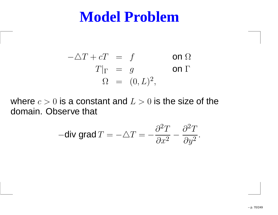#### **Model Problem**

$$
-\Delta T + cT = f \qquad \text{on } \Omega
$$
  
\n
$$
T|_{\Gamma} = g \qquad \text{on } \Gamma
$$
  
\n
$$
\Omega = (0, L)^2,
$$

where  $c > 0$  is a constant and  $L > 0$  is the size of the<br>demain. Obecaus that domain. Observe that

$$
-\text{div grad }T = -\triangle T = -\frac{\partial^2 T}{\partial x^2} - \frac{\partial^2 T}{\partial y^2}.
$$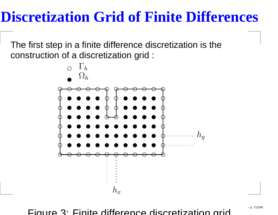#### **Discretization Grid of Finite Differences**

The first step in <sup>a</sup> finite difference discretization is theconstruction of <sup>a</sup> discretization grid :



Figure 3: Finite difference discretization grid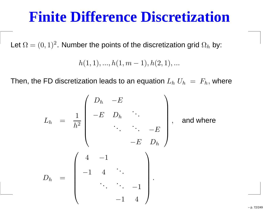#### **Finite Difference Discretization**

Let  $\Omega = (0,1)^2.$  Number the points of the discretization grid  $\Omega_h$  by:

 $h(1,1), ..., h(1,m)$ − $(-1), h(2, 1), ...$ 

Then, the FD discretization leads to an equation  $L_h\;U_h\;=\;F_h,$  where

$$
L_{h} = \frac{1}{h^{2}} \begin{pmatrix} D_{h} & -E & & & & \\ -E & D_{h} & & & & \\ & \ddots & & -E & \\ & & -E & D_{h} \end{pmatrix}, \text{ and where}
$$

$$
D_{h} = \begin{pmatrix} 4 & -1 & & & \\ -1 & 4 & \ddots & & \\ & \ddots & \ddots & -1 & \\ & & \ddots & -1 & \\ & & & -1 & 4 \end{pmatrix}.
$$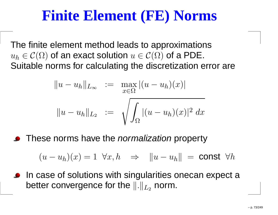## **Finite Element (FE) Norms**

The finite element method leads to approximations $u_h\$  Suitable norms for calculating the discretization error are $\mathcal{C}_h \in \mathcal{C}(\Omega)$  of an exact solution  $u \in \mathcal{C}(\Omega)$  of a PDE.<br>Suitable nerme for coloulating the discretization of

$$
||u - u_h||_{L_{\infty}} := \max_{x \in \Omega} |(u - u_h)(x)|
$$
  

$$
||u - u_h||_{L_2} := \sqrt{\int_{\Omega} |(u - u_h)(x)|^2 dx}
$$

These norms have the *normalization* property

 $(u - u_h)(x) = 1 \quad \forall x, h \quad \Rightarrow \quad ||u - u_h||$ = $=$  const  $\forall h$ 

**In case of solutions with singularities onecan expect a** better convergence for the  $\|.\|_{L_2}$  norm.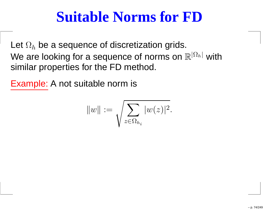## **Suitable Norms for FD**

Let  $\Omega_h$ We are looking for a sequence of norms on  $\mathbb{R}^{|\Omega|}$  $_{h}$  be a sequence of discretization grids.  $^h\vdash$  with similar properties for the FD method.

Example: A not suitable norm is

$$
\|w\|:=\sqrt{\sum_{z\in\Omega_{h_i}} |w(z)|^2}.
$$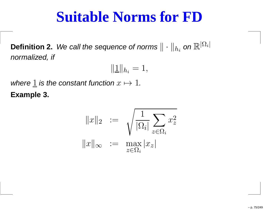## **Suitable Norms for FD**

**Definition 2.** We call the sequence of norms  $\|\cdot\|$ <br>respectived if  $h_i$  on  $\mathbb{R}^{|\Omega_i|}$ normalized, if

$$
\|\underline{1}\|_{h_i}=1,
$$

where  $\underline{1}$  is the constant function  $x\mapsto 1.$ **Example 3.**

$$
||x||_2 := \sqrt{\frac{1}{|\Omega_i|} \sum_{z \in \Omega_i} x_z^2}
$$

$$
||x||_{\infty} := \max_{z \in \Omega_i} |x_z|
$$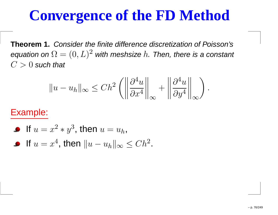## **Convergence of the FD Method**

**Theorem 1.** Consider the finite difference discretization of Poisson'sequation on  $\Omega = (0,L)^2$  with meshsize  $h.$  Then, there is a constant  $C>0$  such that

$$
||u - u_h||_{\infty} \le Ch^2 \left( \left\| \frac{\partial^4 u}{\partial x^4} \right\|_{\infty} + \left\| \frac{\partial^4 u}{\partial y^4} \right\|_{\infty} \right)
$$

#### Example:

\n- If 
$$
u = x^2 * y^3
$$
, then  $u = u_h$ ,
\n- If  $u = x^4$ , then  $||u - u_h||_{\infty} \leq Ch^2$ .
\n

.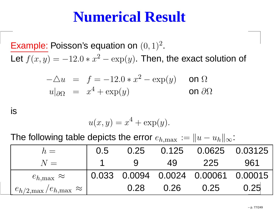## **Numerical Result**

 $\pmb{\text{Example: Poisson's equation on } (0,1)^2}$  .Let  $f(x, y) = -12.0 * x$ 2−−−  $-\exp(y)$ . Then, the exact solution of

$$
-\Delta u = f = -12.0 * x^2 - \exp(y) \quad \text{on } \Omega
$$
  

$$
u|_{\partial\Omega} = x^4 + \exp(y) \quad \text{on } \partial\Omega
$$

is

$$
u(x, y) = x^4 + \exp(y).
$$

The following table depicts the error  $e_{h,\text{max}} := \|u-u_h\|_\infty$ :

| $h =$                                         | 0.5 | 0.25     |      | 0.125  0.0625  0.03125                 |      |
|-----------------------------------------------|-----|----------|------|----------------------------------------|------|
| $N =$                                         |     | <u>g</u> | 49   | 225                                    | 961  |
| $e_{h,\text{max}} \approx$                    |     |          |      | $10.033$ 0.0094 0.0024 0.00061 0.00015 |      |
| $e_{h/2,\text{max}}/e_{h,\text{max}} \approx$ |     | 0.28     | 0.26 | 0.25                                   | 0.25 |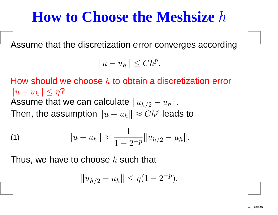## **How to Choose the Meshsize**h

Assume that the discretization error converges according

 $||u - u_h|| \leq Ch^p.$ 

How should we choose  $h$  to obtain a discretization error  $\|u-u_h\|\leq \eta$ ?<br>^ooume\_that Assume that we can calculate  $\|u_{h/2}-u_h\|.$ Then, the assumption  $\|u-u_h\|\approx C h^p$  leads to

(1) 
$$
||u - u_h|| \approx \frac{1}{1 - 2^{-p}} ||u_{h/2} - u_h||.
$$

Thus, we have to choose  $h$  such that

$$
||u_{h/2} - u_h|| \le \eta (1 - 2^{-p}).
$$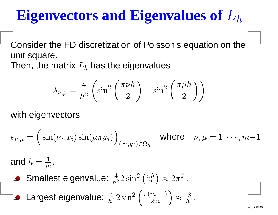## **Eigenvectors and Eigenvalues of**Lh

Consider the FD discretization of Poisson's equation on theunit square. Then, the matrix  $L_h$  $_{h}$  has the eigenvalues

$$
\lambda_{\nu,\mu} = \frac{4}{h^2} \left( \sin^2 \left( \frac{\pi \nu h}{2} \right) + \sin^2 \left( \frac{\pi \mu h}{2} \right) \right)
$$

with eigenvectors

$$
e_{\nu,\mu} = \left(\sin(\nu \pi x_i)\sin(\mu \pi y_j)\right)_{(x_i,y_j)\in\Omega_h} \quad \text{where} \quad \nu,\mu = 1,\cdots,m-1
$$

and  $h=\frac{1}{2}$  $m$  "

Smallest eigenvalue:  $\frac{4}{h^2}$  $h^2\,$  $\frac{1}{2}2\sin^2$  $\left(\frac{\pi h}{2}\right)$  $\approx 2\pi$ 2.

**Largest eigenvalue:** 
$$
\frac{4}{h^2} 2 \sin^2 \left( \frac{\pi (m-1)}{2m} \right) \approx \frac{8}{h^2}
$$
.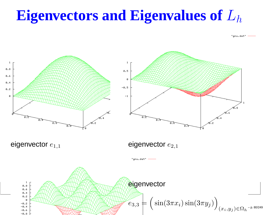## **Eigenvectors and Eigenvalues of**Lh

"gnu.dat"

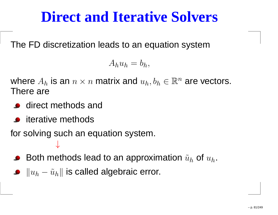## **Direct and Iterative Solvers**

The FD discretization leads to an equation system

$$
A_h u_h = b_h,
$$

where  $A_h$  There are $_h$  is an  $n \times n$  matrix and  $u_h, b_h \in \mathbb{R}^n$  are vectors.

- **o** direct methods and
- **•** iterative methods

for solving such an equation system. ↓

- Both methods lead to an approximation  $\tilde{u}_h$  $_h$  of  $u_h$ .
- $\|u_h-\tilde{u}_h\|$  is called algebraic error.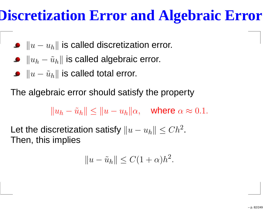## **Discretization Error and Algebraic Error**

- $\|u-u_h\|$  is called discretization error.
- $\|u_h-\tilde{u}_h\|$  is called algebraic error.
- $\|u-\tilde{u}_h\|$  is called total error.

The algebraic error should satisfy the property

 $||u_h - \tilde{u}_h|| \le ||u - u_h||\alpha, \quad \text{where } \alpha \approx 0.1.$ 

Let the discretization satisfy  $\|u-u_h\|\leq Ch^2$  .Then, this implies

$$
||u - \tilde{u}_h|| \le C(1 + \alpha)h^2.
$$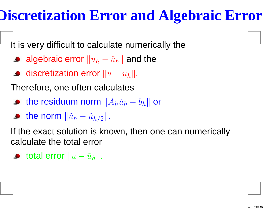#### **Discretization Error and Algebraic Error**

It is very difficult to calculate numerically the

- algebraic error  $\|u_h-\tilde{u}_h\|$  and the
- discretization error  $\|u-u_h\|.$

Therefore, one often calculates

- the residuum norm  $\|A_h\tilde u_h-b_h\|$  or
- the norm  $\|\tilde u_h-\tilde u\|$  $\tilde{u}_{h/2}\|$  .

If the exact solution is known, then one can numericallycalculate the total error

total error  $\|u-\tilde{u}_h\|.$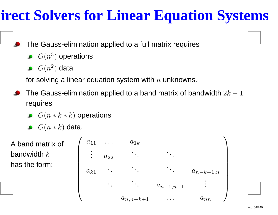## **Direct Solvers for Linear Equation Systems**

- The Gauss-elimination applied to <sup>a</sup> full matrix requires
	- $O(n^3$  $^{3})$  operations
	- $O(n^2)$  $^{2})$  data

for solving a linear equation system with  $n$  unknowns.

- The Gauss-elimination applied to a band matrix of bandwidth  $2k-1$ requires
	- $O(n*k*k)$  operations
	- $O(n*k)$  data.

A band matrix of bandwidth  $k$ has the form:

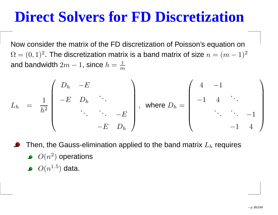#### **Direct Solvers for FD Discretization**

Now consider the matrix of the FD discretization of Poisson's equation on $\Omega = (0,1)^2.$  The discretization matrix is a band matrix of size  $n = (m-1)$  $\sim 1)^2$ and bandwidth  $2m-\,$ 1, since  $h=\frac{1}{m}$  $\,m$ 

$$
L_h = \frac{1}{h^2} \begin{pmatrix} D_h & -E & & & \\ -E & D_h & & & \\ & \ddots & \ddots & -E & \\ & & -E & D_h \end{pmatrix}, \text{ where } D_h = \begin{pmatrix} 4 & -1 & & \\ & -1 & 4 & & \\ & \ddots & \ddots & -1 & \\ & & -1 & 4 \end{pmatrix}
$$

Then, the Gauss-elimination applied to the band matrix  $L_h$  requires  $O(n^2$  $O(n^{1.5}$  $^{2})$  operations  $^{5})$  data.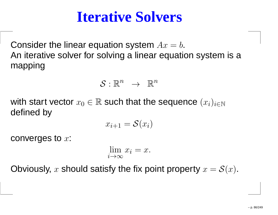#### **Iterative Solvers**

Consider the linear equation system  $Ax$  $= b$ . An iterative solver for solving <sup>a</sup> linear equation system is <sup>a</sup>mapping

$$
S:\mathbb{R}^n\;\rightarrow\;\mathbb{R}^n
$$

with start vector  $x_0\in\mathbb{R}$  such that the sequence  $(x_i)_{i\in\mathbb{N}}$ defined by

$$
x_{i+1} = \mathcal{S}(x_i)
$$

converges to  $x\mathrm{:}$ 

$$
\lim_{i \to \infty} x_i = x.
$$

Obviously,  $x$  should satisfy the fix point property  $x=\mathcal{S}(x).$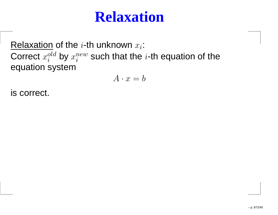#### **Relaxation**

Relaxation of the  $i$ -th unknown  $x_i$ : Correct  $x_i^{old}$  by  $x_i^{new}$  such that the  $i$ -th equation of the equation system

$$
A \cdot x = b
$$

is correct.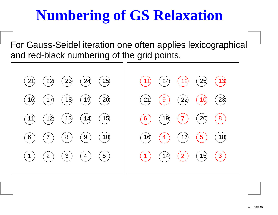## **Numbering of GS Relaxation**

For Gauss-Seidel iteration one often applies lexicographical and red-black numbering of the grid points.

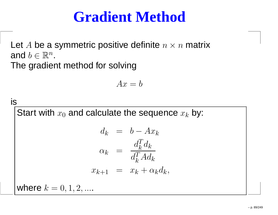## **Gradient Method**

Let  $A$  be a symmetric positive definite  $n \times n$  matrix<br>end  $l \in \mathbb{D}^n$ and  $b\in\mathbb{R}^n$  $\sim$   $\sim$   $\sim$ .The gradient method for solving

$$
Ax = b
$$

is  
\nStart with 
$$
x_0
$$
 and calculate the sequence  $x_k$  by:  
\n
$$
d_k = b - Ax_k
$$
\n
$$
\alpha_k = \frac{d_k^T d_k}{d_k^T A d_k}
$$
\n
$$
x_{k+1} = x_k + \alpha_k d_k,
$$
\nwhere  $k = 0, 1, 2, ...$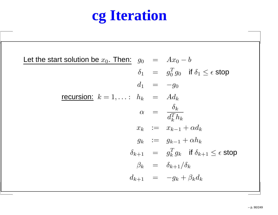# **cg Iteration**

| Let the start solution be $x_0$ . Then: $g_0 = Ax_0 - b$        |
|-----------------------------------------------------------------|
| $\delta_1 = g_0^T g_0$ if $\delta_1 \leq \epsilon$ stop         |
| $d_1 = -q_0$                                                    |
| recursion: $k = 1, \ldots$ : $h_k = Ad_k$                       |
| $\alpha = \frac{\delta_k}{d_k^T h_k}$                           |
| $x_k := x_{k-1} + \alpha d_k$                                   |
| $g_k := g_{k-1} + \alpha h_k$                                   |
| $\delta_{k+1} = g_k^T g_k$ if $\delta_{k+1} \leq \epsilon$ stop |
| $\beta_k = \delta_{k+1}/\delta_k$                               |
| $d_{k+1} = -g_k + \beta_k d_k$                                  |
|                                                                 |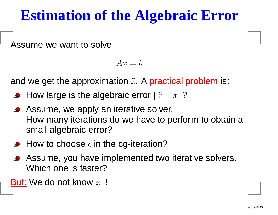#### **Estimation of the Algebraic Error**

Assume we want to solve

 $Ax=b$ 

and we get the approximation  $\tilde{x}.$  A practical problem is:

- How large is the algebraic error  $\|\tilde{x}-x\|$ ?
- Assume, we apply an iterative solver. How many iterations do we have to perform to obtain <sup>a</sup>small algebraic error?
- How to choose  $\epsilon$  in the cg-iteration?
- Assume, you have implemented two iterative solvers. Which one is faster?

<u>But:</u> We do not know  $x$  !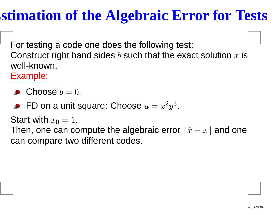## **Estimation of the Algebraic Error for Tests**

For testing <sup>a</sup> code one does the following test: Construct right hand sides  $b$  such that the exact solution  $x$  is well-known.

Example:

- Choose  $b = 0$ .
- FD on a unit square: Choose  $u=x$ 2 $\lnot y$ 3.

Start with  $x_0 = \underline{1}.$ 

Then, one can compute the algebraic error  $\left\|\tilde{x}-x\right\|$  and one can compare two different codes.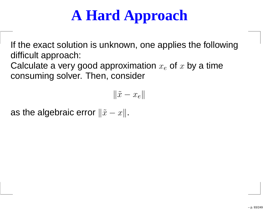# **A Hard Approach**

If the exact solution is unknown, one applies the followingdifficult approach:

Calculate a very good approximation  $x_e$  $_{e}$  of  $x$  by a time consuming solver. Then, consider

$$
\|\tilde{x} - x_e\|
$$

as the algebraic error  $\|\tilde{x}-x\|.$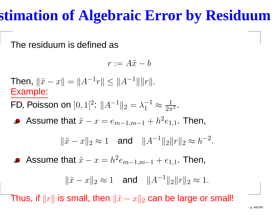## **Estimation of Algebraic Error by Residuum**

The residuum is defined as

$$
r:=A\tilde{x}-b
$$

Then,  $\|\tilde{x}-x\|$ .1a. = $\|A^{-1}$  $r \Vert \leq \|A^{-1}\| \|r\|.$ Example:FD, Poisson on  $]0,1[^2$  $^{2}\colon\mathcal{A}^{-1}$  $\|x\|_2=\lambda_1^{-1}$  $_1$   $\tilde{\phantom{1}}\approx$ 1 $2\pi^2$  . Assume that  $\tilde{x}-x=e_{m-1,m-1}+h^2$  $^{2}e_{1,1}.$  Then,  $\|\tilde{x}-x\|_2\approx 1$  and  $\|A^{-1}$  $x^{1}$ ||2|| $r$ ||2 $\approx h^{-2}$  .Assume that  $\tilde{x}-x=h^2$  $e^{2}e_{m-1,m-1}+e_{1,1}.$  Then,  $\|\tilde{x}-x\|_2\approx 1$  and  $\|A^{-1}$  $k^1$ ||2|| $r$ ||2 ≈ 1.

Thus, if  $\|r\|$  is small, then  $\|\tilde{x} - x\|_2$  $_{\rm 2}$  can be large or small!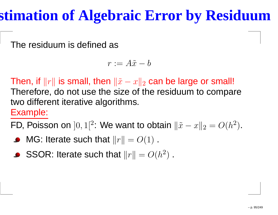## **Estimation of Algebraic Error by Residuum**

The residuum is defined as

$$
r:=A\tilde{x}-b
$$

Then, if  $\Vert r \Vert$  is small, then  $\Vert \tilde{x} - x \Vert_2$  Therefore, do not use the size of the residuum to compare $_{\rm 2}$  can be large or small! two different iterative algorithms.

#### Example:

FD, Poisson on  $]0,1[^2:$  We want to obtain  $\lVert \tilde{x} - x \rVert_2 = O(h^2)$  $^2)$  .

- MG: Iterate such that  $\lVert r \rVert$ = $O(1)$  .
- SSOR: Iterate such that  $\lVert r \rVert$  $=O(h^2)$  $^{2})$  .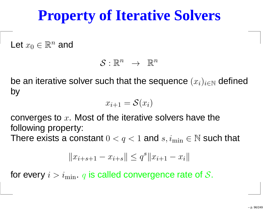## **Property of Iterative Solvers**

Let  $x_0\in\mathbb{R}^n$  and

$$
S:\mathbb{R}^n\ \rightarrow\ \mathbb{R}^n
$$

be an iterative solver such that the sequence  $(x_i)_{i\in\mathbb{N}}$  $_\mathbb{N}$  defined by

$$
x_{i+1} = \mathcal{S}(x_i)
$$

converges to  $x.$  Most of the iterative solvers have the following property:

There exists a constant  $0 < q < 1$  and  $s, i_{\min} \in \mathbb{N}$  such that

$$
||x_{i+s+1} - x_{i+s}|| \le q^s ||x_{i+1} - x_i||
$$

for every  $i > i_{\min}$ .  $q$  is called convergence rate of  $\mathcal{S}.$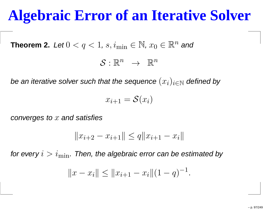## **Algebraic Error of an Iterative Solver**

 $\bf Theorem~2. \ \ Let \ 0 < q < 1, \, s, i_{\min} \in \mathbb{N}, \, x_0 \in \mathbb{R}^n \ \textit{and}$ 

 $\mathcal{S}:\mathbb{R}^n~~\rightarrow~~\mathbb{R}^n$ 

be an iterative solver such that the sequence  $(x_i)_{i\in\mathbb{N}}$  defined by

 $x_{i+1}=\mathcal{S}(x_i)$ 

converges to  $x$  and satisfies

$$
||x_{i+2} - x_{i+1}|| \le q ||x_{i+1} - x_i||
$$

for every  $i > i_{\min}.$  Then, the algebraic error can be estimated by

$$
||x - x_i|| \le ||x_{i+1} - x_i||(1 - q)^{-1}
$$

.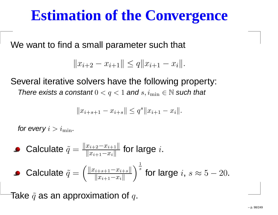#### **Estimation of the Convergence**

We want to find a small parameter such that

$$
||x_{i+2} - x_{i+1}|| \le q ||x_{i+1} - x_i||.
$$

Several iterative solvers have the following property: There exists a constant  $0 < q < 1$  and  $s, i_{\min} \in \mathbb{N}$  such that

$$
||x_{i+s+1} - x_{i+s}|| \le q^s ||x_{i+1} - x_i||.
$$

for every  $i > i_{\min}$  .

\n- Calculate 
$$
\tilde{q} = \frac{\|x_{i+2} - x_{i+1}\|}{\|x_{i+1} - x_i\|}
$$
 for large  $i$ .
\n- Calculate  $\tilde{q} = \left(\frac{\|x_{i+s+1} - x_{i+s}\|}{\|x_{i+1} - x_i\|}\right)^{\frac{1}{s}}$  for large  $i, s \approx 5 - 20$ .
\n

Take  $\tilde{q}$  as an approximation of  $q.$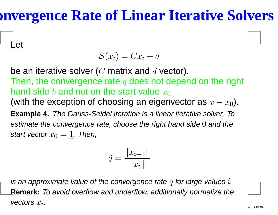#### **Convergence Rate of Linear Iterative Solvers**

Let

$$
\mathcal{S}(x_i) = Cx_i + d
$$

be an iterative solver ( $C$  matrix and  $d$  vector).<br>There the convergence rate of see ratidons: Then, the convergence rate  $q$  does not depend on the right hand side  $b$  and not on the start value  $x_\mathrm{0}$ (with the exception of choosing an eigenvector as  $x-x_0$ ). **Example 4.** The Gauss-Seidel iteration is <sup>a</sup> linear iterative solver. Toestimate the convergence rate, choose the right hand side  $0$  and the start vector  $x_0 = \underline{1}$ . Then,

$$
\tilde{q} = \frac{||x_{i+1}||}{||x_i||}
$$

is an approximate value of the convergence rate  $q$  for large values  $i$ . **Remark:** To avoid overflow and underflow, additionally normalize thevectors  $x_i.$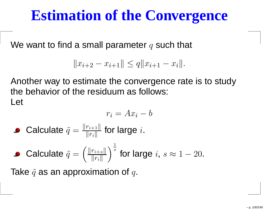#### **Estimation of the Convergence**

We want to find a small parameter  $q$  such that

$$
||x_{i+2} - x_{i+1}|| \le q ||x_{i+1} - x_i||.
$$

Another way to estimate the convergence rate is to studythe behavior of the residuum as follows: Let

$$
r_i = Ax_i - b
$$

Calculate  $\tilde{q}=\frac{\|r_{i+1}\|}{\|r_{i}\|}$  for large  $i.$ 

• Calculate 
$$
\tilde{q} = \left(\frac{\|r_{i+s}\|}{\|r_i\|}\right)^{\frac{1}{s}}
$$
 for large  $i, s \approx 1 - 20$ .

Take  $\tilde{q}$  as an approximation of  $q.$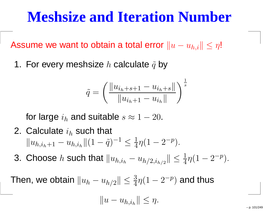#### **Meshsize and Iteration Number**

Assume we want to obtain a total error  $\|u-\|$  $u_{h,i}$ ||  $\leq \eta$ !

1. For every meshsize  $h$  calculate  $\tilde{q}$  by

$$
\tilde{q} = \left(\frac{\|u_{i_h+s+1} - u_{i_h+s}\|}{\|u_{i_h+1} - u_{i_h}\|}\right)^{\frac{1}{s}}
$$

for large  $i_h$  $_h$  and suitable  $s\approx1 -20.$ 

- 2. Calculate  $i_h$  $\|u_{h,i_h+1}-u_{h,i_h}\|(1$  $_h$  such that  $\widetilde{q})^{-}$ 1 $\frac{1}{\leq}$  $\frac{1}{4}\eta(1$ −2− $^{p}).$
- 3. Choose  $h$  such that  $\|u_{h,i_h}-u_{h/2,i_{h/2}}$  $\| \leq \frac{1}{4}$  $\frac{1}{4}\eta(1$ −2− $p\big).$

Then, we obtain  $\|u_h-u_{h/2}\|\leq \frac{3}{4}$  $\frac{3}{4}\eta(1$ −2− $\ ^{p})$  and thus

$$
||u - u_{h,i_h}|| \leq \eta.
$$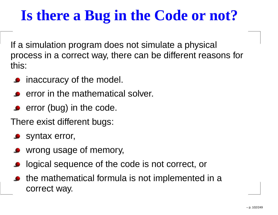## **Is there <sup>a</sup> Bug in the Code or not?**

If <sup>a</sup> simulation program does not simulate <sup>a</sup> physical process in <sup>a</sup> correct way, there can be different reasons forthis:

- **•** inaccuracy of the model.
- error in the mathematical solver.
- $\bullet$  error (bug) in the code.

There exist different bugs:

- **Syntax error,**
- wrong usage of memory,
- logical sequence of the code is not correct, or
- the mathematical formula is not implemented in <sup>a</sup>correct way.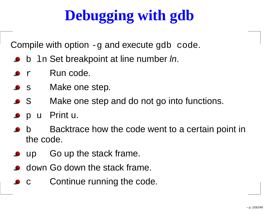# **Debugging with gdb**

Compile with option -g and execute gdb code.

- **b** b 1n Set breakpoint at line number *ln*.
- $\bullet$  r Run code.
- $\bullet$  s Make one step.
- $\bullet$  S Make one step and do not go into functions.
- <sup>p</sup> <sup>u</sup> Print u.
- b Backtrace how the code went to <sup>a</sup> certain point in the code.
- $\bullet$  up Go up the stack frame.
- down Go down the stack frame.
- cContinue running the code.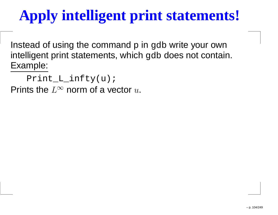# **Apply intelligent print statements!**

Instead of using the command p in gdb write your own intelligent print statements, which <sub>9</sub>db does not contain.<br><del>-</del> Example:

Print\_L\_infty(u);

Prints the  $L^\infty$  norm of a vector  $u.$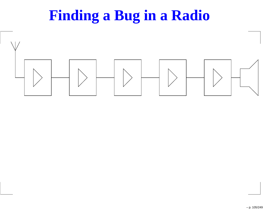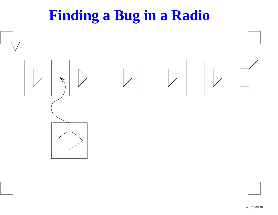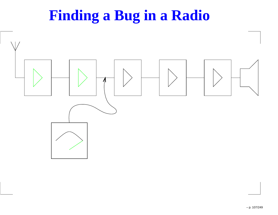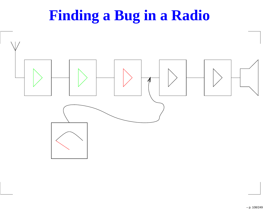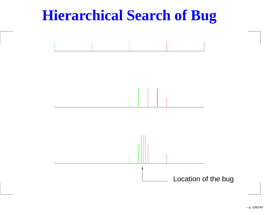## **Hierarchical Search of Bug**

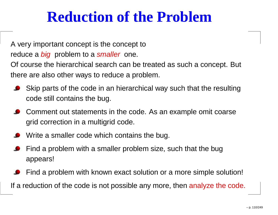# **Reduction of the Problem**

A very important concept is the concept to

reduce a *big* problem to a s*maller* one.

Of course the hierarchical search can be treated as such <sup>a</sup> concept. But there are also other ways to reduce <sup>a</sup> problem.

- Skip parts of the code in an hierarchical way such that the resultingcode still contains the bug.
- Comment out statements in the code. As an example omit coarsegrid correction in <sup>a</sup> multigrid code.
- Write <sup>a</sup> smaller code which contains the bug.
- Find <sup>a</sup> problem with <sup>a</sup> smaller problem size, such that the bugappears!
- Find <sup>a</sup> problem with known exact solution or <sup>a</sup> more simple solution! If a reduction of the code is not possible any more, then analyze the code.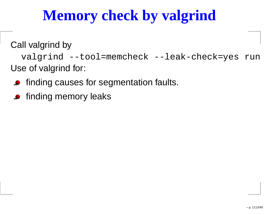# **Memory check by valgrind**

Call valgrind by

valgrind --tool=memcheck --leak-check=yes run Use of valgrind for:

- **•** finding causes for segmentation faults.
- finding memory leaks $\bullet$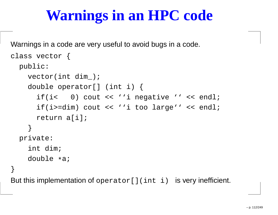# **Warnings in an HPC code**

Warnings in <sup>a</sup> code are very useful to avoid bugs in <sup>a</sup> code.

```
class vector {
  public:vector(int dim_);
    double operator[] (int i) {
      if(i< 0) cout << ''i negative '' << endl;
      if(i>=dim) cout << ''i too large'' << endl;
      return a[i];
    }private:int dim;
    double *a;
}But this implementation of operator [](int i) is very inefficient.
```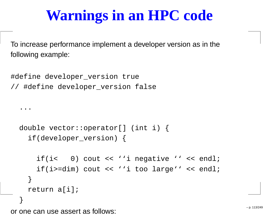# **Warnings in an HPC code**

To increase performance implement <sup>a</sup> developer version as in the following example:

```
#define developer_version true
// #define developer_version false
  ...double vector::operator[] (int i) {
    if(developer_version) {
      if(i< 0) cout << ''i negative '' << endl;
      if(i>=dim) cout << ''i too large'' << endl;
    }return a[i];
  }
```
or one can use assert as follows:  $\overline{ }$  and  $\overline{ }$  and  $\overline{ }$  p. 113/249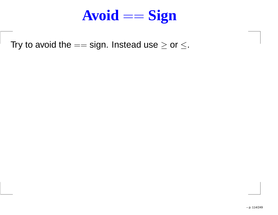

Try to avoid the  $==$  sign. Instead use  $\ge$  or  $\le$ .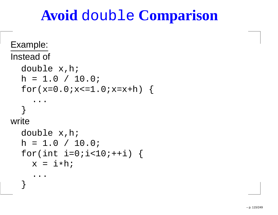# **Avoid** double **Comparison**

```
Example:Instead of
  double x,h;
  h = 1.0 / 10.0;for(x=0.0; x<=1.0; x=x+h) {
     ...}<br>}

writedouble x,h;
  h = 1.0 / 10.0;for(int i=0; i<10; i+i) {
    x = i * h;. .
   }<br>}
```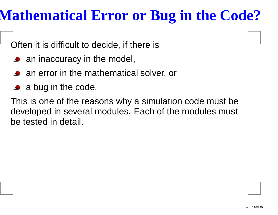#### **Mathematical Error or Bug in the Code?**

Often it is difficult to decide, if there is

- an inaccuracy in the model,
- **•** an error in the mathematical solver, or
- a bug in the code.

This is one of the reasons why <sup>a</sup> simulation code must be developed in several modules. Each of the modules must be tested in detail.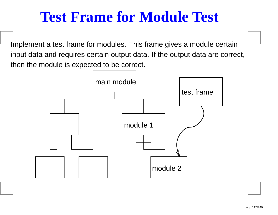# **Test Frame for Module Test**

Implement <sup>a</sup> test frame for modules. This frame gives <sup>a</sup> module certain input data and requires certain output data. If the output data are correct, then the module is expected to be correct.

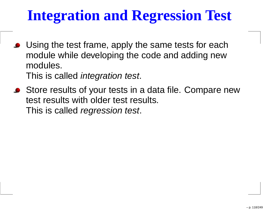# **Integration and Regression Test**

■ Using the test frame, apply the same tests for each module while developing the code and adding newmodules.

This is called *integration test*.

■ Store results of your tests in a data file. Compare new test results with older test results. This is called *regression test*.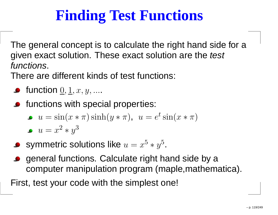# **Finding Test Functions**

The general concept is to calculate the right hand side for <sup>a</sup>given exact solution. These exact solution are the *test* functions.

There are different kinds of test functions:

- function  $\underline{0}, \underline{1}, x, y, ....$
- **•** functions with special properties:
	- $u = \sin(x * \pi) \sinh(y * \pi)$ ,  $u = e$  $^t \sin (x*\pi)$

$$
u = x^2 * y^3
$$

- symmetric solutions like  $u=x$ 5 $^{\circ}$  \*  $y$ 5.
- general functions. Calculate right hand side by <sup>a</sup>computer manipulation program (maple,mathematica).

First, test your code with the simplest one!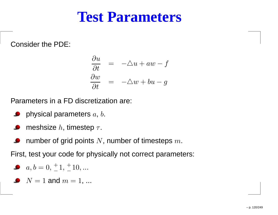#### **Test Parameters**

Consider the PDE:

$$
\frac{\partial u}{\partial t} = -\Delta u + aw - f
$$
  

$$
\frac{\partial w}{\partial t} = -\Delta w + bu - g
$$

Parameters in <sup>a</sup> FD discretization are:

- physical parameters  $\emph{a, b.}$  $\bullet$
- meshsize  $h$ , timestep  $\tau.$
- number of grid points  $N,$  number of timesteps  $m.$

First, test your code for physically not correct parameters:

$$
a, b = 0, \pm 1, \pm 10, \dots
$$

 $N=1$  and  $m=1, ...$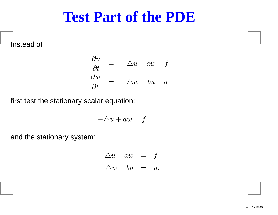#### **Test Part of the PDE**

Instead of

$$
\begin{array}{rcl}\n\frac{\partial u}{\partial t} & = & -\triangle u + aw - f \\
\frac{\partial w}{\partial t} & = & -\triangle w + bu - g\n\end{array}
$$

first test the stationary scalar equation:

$$
-\triangle u + aw = f
$$

and the stationary system:

$$
-\triangle u + aw = f
$$
  

$$
-\triangle w + bu = g.
$$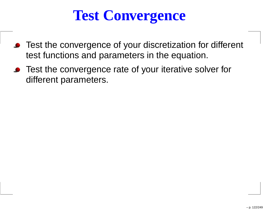# **Test Convergence**

- **•** Test the convergence of your discretization for different test functions and parameters in the equation.
- Test the convergence rate of your iterative solver for different parameters.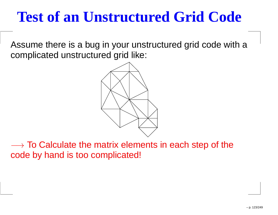# **Test of an Unstructured Grid Code**

Assume there is <sup>a</sup> bug in your unstructured grid code with <sup>a</sup>complicated unstructured grid like:



→ To Calculate the matrix elements in each step of the<br>code by hand is too complicated! code by hand is too complicated!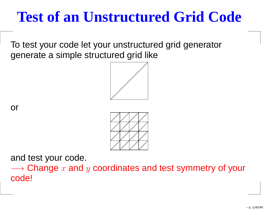# **Test of an Unstructured Grid Code**

To test your code let your unstructured grid generatorgenerate <sup>a</sup> simple structured grid like







and test your code.

 $\longrightarrow$  Change  $x$  and  $y$  coordinates and test symmetry of your<br>codel code!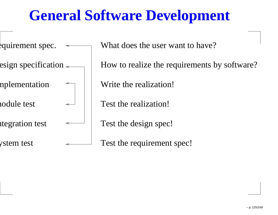# **General Software Development**

 $\frac{1}{2}$ quirement spec.

esign specification  $\leftarrow$ 

implementation

module test

ntegration test

system test

What does the user want to have?

How to realize the requirements by software?

Write the realization!

Test the realization!

Test the design spec!

Test the requirement spec!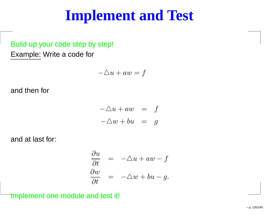#### **Implement and Test**

#### Build up your code step by step! Example: Write <sup>a</sup> code for

$$
-\triangle u + aw = f
$$

and then for

$$
-\triangle u + aw = f
$$
  

$$
-\triangle w + bu = g
$$

and at last for:

$$
\frac{\partial u}{\partial t} = -\Delta u + aw - f
$$
  

$$
\frac{\partial w}{\partial t} = -\Delta w + bu - g.
$$

Implement one module and test it!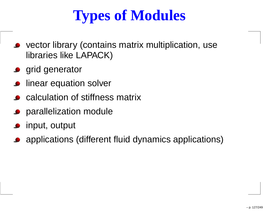# **Types of Modules**

- vector library (contains matrix multiplication, uselibraries like LAPACK)
- **grid generator**
- linear equation solver
- calculation of stiffness matrix
- **P** parallelization module
- input, output
- applications (different fluid dynamics applications)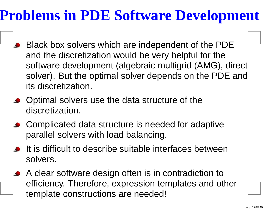### **Problems in PDE Software Development**

- Black box solvers which are independent of the PDE and the discretization would be very helpful for the software development (algebraic multigrid (AMG), direct solver). But the optimal solver depends on the PDE andits discretization.
- Optimal solvers use the data structure of the discretization.
- Complicated data structure is needed for adaptiveparallel solvers with load balancing.
- **•** It is difficult to describe suitable interfaces between solvers.
- A clear software design often is in contradiction to efficiency. Therefore, expression templates and othertemplate constructions are needed!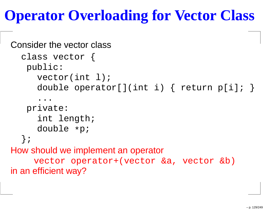# **Operator Overloading for Vector Class**

```
Consider the vector classclass vector {
   public:vector(int l);<br>,
      double operator[](int i) { return p[i]; }
      ...
private:int length;<br>.
      double *p;
  };
How should we implement an operatorvector operator+(vector &a, vector &b)
in an efficient way?
```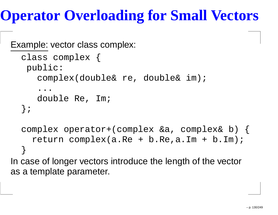# **Operator Overloading for Small Vectors**

```
Example: vector class complex:
```

```
class complex {
   public:
complex(double& re, double& im);
      ...
double Re, Im;
  };complex operator+(complex &a, complex& b) {
    return complex(a.Re + b.Re,a.Im + b.Im);
  }<br>}

In case of longer vectors introduce the length of the vectoras a template parameter.
```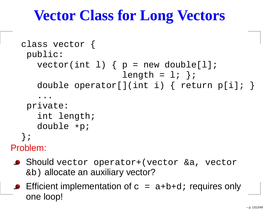# **Vector Class for Long Vectors**

```
class vector {
  public:
vector(int l) { p = new double[l];
                       length = 1; }double operator[](int i) { return p[i]; }
     ...
private:int length;<br>.
     double *p;
  };
Problem:
```
- Should vector operator+(vector &a, vector &b) allocate an auxiliary vector?
- **Efficient implementation of**  $c = a+b+d$ ; requires only one loop!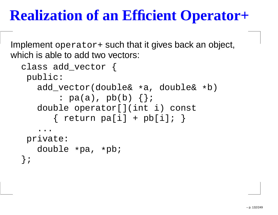#### **Realization of an Efficient Operator+**

Implement operator+ such that it gives back an object, which is able to add two vectors:

```
class add_vector {
public:
add_vector(double&*a, double&
*b)
: pa(a), pb(b) {};
   double operator[](int i) const
      \{ return pa[i] + pb[i]; \}. .

private:double *pa, *pb;
};
```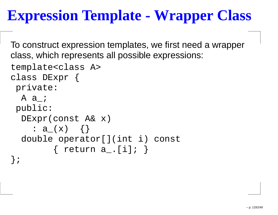# **Expression Template - Wrapper Class**

To construct expression templates, we first need <sup>a</sup> wrapperclass, which represents all possible expressions:

```
template<class A>
class DExpr {
 private:A a i
 public:
DExpr(const A& x)
    : a_(x) {}
  double operator[](int i) const
        \{ return a_.[i]; \}};
```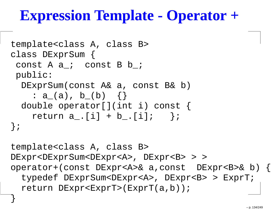#### **Expression Template - Operator <sup>+</sup>**

```
template<class A, class B>
class DExprSum {
 const A a ; const B b ;
 public:
DExprSum(const A& a, const B& b)
    : a_(a), b_(b) {}
  double operator[](int i) const {
    return a_{-}. [i] + b_. [i]; };
};template<class A, class B>
DExpr<DExprSum<DExpr<A>, DExpr<B> > >
operator+(const DExpr<A>& a,const DExpr<B>& b) {
  typedef DExprSum<DExpr<A>, DExpr<B> > ExprT;
  return DExpr<ExprT>(ExprT(a,b));
```
}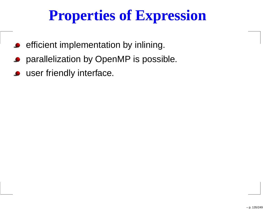# **Properties of Expression**

- efficient implementation by inlining.  $\bullet$
- parallelization by OpenMP is possible.
- user friendly interface.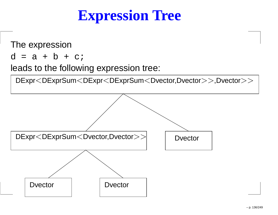#### **Expression Tree**

The expression

 $d = a + b + c$ ;

leads to the following expression tree:

DExpr<DExprSum<DExpr<DExprSum<Dvector,Dvector>>,Dvector>>

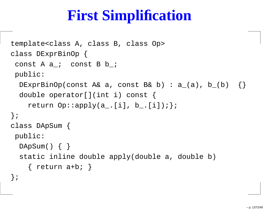# **First Simplification**

```
template<class A, class B, class Op>
class DExprBinOp {
 const A a ; const B b ;
public:DExprBinOp(const A& a, const B& b) : a_-(a), b_-(b) {}
 double operator[](int i) const {
    return Op::apply(a_.[i], b_.[i]);};
};class DApSum {
public:DApSum() \{ \}static inline double apply(double a, double b)
    \{ return a+b; \}};
```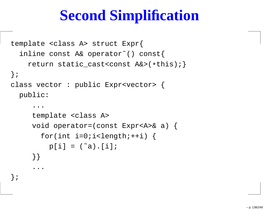# **Second Simplification**

```
template <class A> struct Expr{
  inline const A& operator˜() const{
    return static_cast<const A&>(
*this);}};class vector : public Expr<vector> {
  public:...template <class A>
     void operator=(const Expr<A>& a) {
       for(int i=0;i<length;++i) {
         p[i] = (a^*a) \cdot [i];}}...
```
};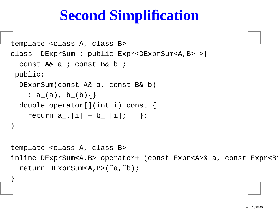# **Second Simplification**

```
template <class A, class B>
class DExprSum : public Expr<DExprSum<A,B> >{
  const A& a_; const B& b_;
public:DExprSum(const A& a, const B& b)
    : a_(a), b_(b){}
  double operator[](int i) const {
    return a_{-}. [i] + b<sub>-</sub>. [i]; };
}template <class A, class B>
inline DExprSum<A,B> operator+ (const Expr<A>& a, const Expr<B>
  return DExprSum<A,B>(˜a,˜b);
```
}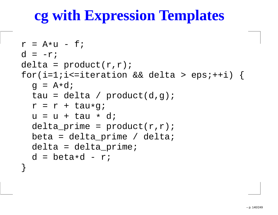# **cg with Expression Templates**

```
r = A
*u - f;
d = -r;delta = product(r,r);for(i=1;i<=iteration && delta > eps;++i) {
  g = A
*d;
tau = delta / product(d,g);
  r = r + tau
*g;u = u + tau * d;<br>delte reime
  delta\_prime = product(r,r);beta = delta\_prime / delta;delta = delta_prime;
  d = beta
*d - r;
}
```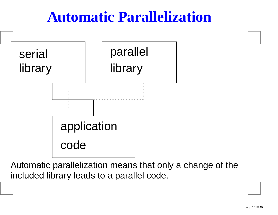#### **Automatic Parallelization**



Automatic parallelization means that only <sup>a</sup> change of theincluded library leads to <sup>a</sup> parallel code.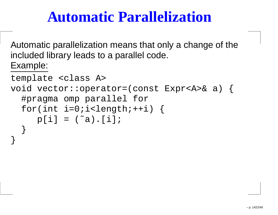#### **Automatic Parallelization**

Automatic parallelization means that only <sup>a</sup> change of theincluded library leads to <sup>a</sup> parallel code. Example:

```
template <class A>
void vector::operator=(const Expr<A>& a) {
  #pragma omp parallel for
  for(int i=0:i<length:i++i) {
     p[i] = (a^2a) \cdot [i];}<br>}
```
}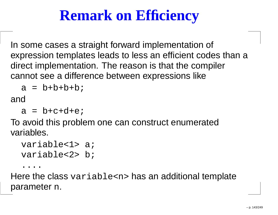# **Remark on Efficiency**

In some cases <sup>a</sup> straight forward implementation of expression templates leads to less an efficient codes than <sup>a</sup>direct implementation. The reason is that the compilercannot see <sup>a</sup> difference between expressions like

```
a = b+b+b+b;
```
and

```
a = b + c + d + e
```
To avoid this problem one can construct enumeratedvariables.

```
variable<1> a;
variable<2> b;
```
....

 Here the class variable<n> has an additional template parameter n.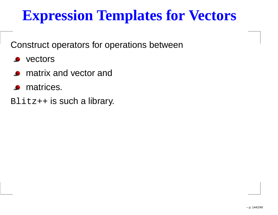#### **Expression Templates for Vectors**

Construct operators for operations between

- vectors $\bullet$
- matrix and vector and
- matrices.
- Blitz++ <mark>is such a library</mark>.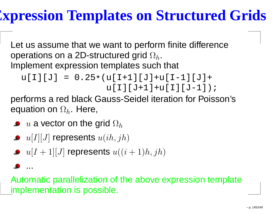#### **Expression Templates on Structured Grids**

Let us assume that we want to perform finite differenceoperations on a 2D-structured grid  $\Omega_h$ . Implement expression templates such that

$$
u[I][J] = 0.25*(u[I+1][J]+u[I-1][J]+u[J-1]);
$$
  
 
$$
u[I][J+1]+u[I][J-1]);
$$

 performs <sup>a</sup> red black Gauss-Seidel iteration for Poisson'sequation on  $\Omega_h.$  Here,

 $u$  a vector on the grid  $\Omega_h$ 

...

- $u[I][J]$  represents  $u(ih, jh)$
- $u[I+1][J]$  represents  $u((i+1)h,jh)$

Automatic parallelization of the above expression templat eimplementation is possible.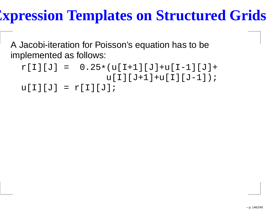#### **Expression Templates on Structured Grids**

A Jacobi-iteration for Poisson's equation has to beimplemented as follows:

```
r[I][J] = 0.25
*(u[I+1][J]+u[I-1][J]+
u[I][J+1]+u[I][J-1]);u[I][J] = r[I][J];
```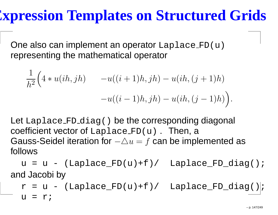#### **Expression Templates on Structured Grids**

One also can implement an operator Laplace\_FD(u) representing the mathematical operator

1

$$
\frac{1}{h^2} \Big( 4 * u(ih, jh) - u((i+1)h, jh) - u(ih, (j+1)h) - u((i-1)h, jh) - u(ih, (j-1)h) \Big).
$$

Let Laplace FD diag() be the corresponding diagonal coefficient vector of Laplace FD(u) . Then, <sup>a</sup> Gauss-Seidel iteration for  $-\triangle u=$  $f$  can be implemented as follows

 $u = u - (Laplace_FD(u) + f) /$  Laplace\_FD\_diag(); and Jacobi by

 $r = u - (Laplace_FD(u)+f)/$  Laplace\_FD\_diag()|;  $u = r$ ;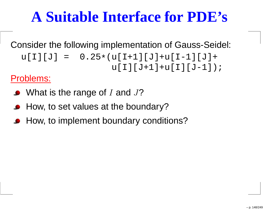### **A Suitable Interface for PDE's**

Consider the following implementation of Gauss-Seidel: u[I][J] <sup>=</sup> 0.25 \*(u[I+1][J]+u[I-1][J]+u[I][J+1]+u[I][J-1]);

Problems:

- What is the range of  $I$  and  $J$ ?
- How, to set values at the boundary?
- How, to implement boundary conditions?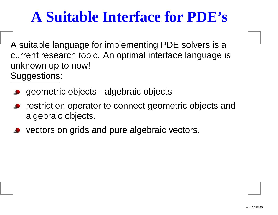### **A Suitable Interface for PDE's**

A suitable language for implementing PDE solvers is <sup>a</sup> current research topic. An optimal interface language isunknown up to now! Suggestions:

- geometric objects algebraic objects
- restriction operator to connect geometric objects andalgebraic objects.
- **vectors on grids and pure algebraic vectors.**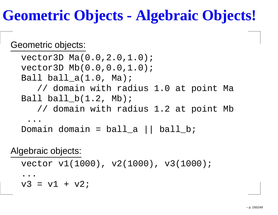### **Geometric Objects - Algebraic Objects!**

#### Geometric objects:

vector3D Ma(0.0,2.0,1.0); vector3D Mb(0.0,0.0,1.0); Ball ball\_a(1.0, Ma); // domain with radius 1.0 at point Ma Ball ball\_b(1.2, Mb); // domain with radius 1.2 at point Mb ...Domain domain <sup>=</sup> ball\_a || ball\_b;

#### Algebraic objects:

```
vector v1(1000), v2(1000), v3(1000);
```
... $v3 = v1 + v2;$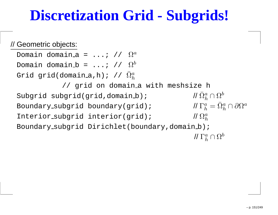#### **Discretization Grid - Subgrids!**

#### // Geometric objects:

Domain domain\_a = ...; //  $\Omega^a$ Domain domain\_b =  $\ldots\colon$  //  $\Omega^b$ Grid grid(domain\_a,h); //  $\bar{\Omega}^a_h$  $\boldsymbol{h}$ // grid on domain\_a with meshsize h Subgrid subgrid(grid,domain b);  $\bar{\Omega}^a$  $\frac{a}{h}\cap\Omega^b$  $\Gamma^a_{\iota} =$ Boundary\_subgrid boundary(grid); //  $\Omega^a_{\mu}$  $\bar{a}_h^a=\bar{\Omega}^a_h$  $\partial^a_h\cap\partial\Omega^a$ Interior subgrid interior(grid); // Boundary\_subgrid Dirichlet(boundary,domain\_b);  $\hbar$  $/\!/ \, \Gamma^{a}_{\iota}$  $\frac{a}{h}\cap\Omega^b$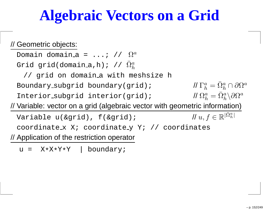#### **Algebraic Vectors on <sup>a</sup> Grid**

#### // Geometric objects:

Domain domain\_a =  $\ldots$ ; //  $\Omega^a$ Grid grid(domain\_a,h); //  $\bar{\Omega}^a_h$  $\boldsymbol{h}$ // grid on domain a with meshsize h Boundary\_subgrid boundary(grid); //  $\Gamma^a$  $\Omega^a_i = \bar{\Omega}^a_i \backslash \partial \Omega$  $\bar{a}_h^a=\bar{\Omega}^a_h$  $\partial^a_h\cap\partial\Omega^a$ Interior subgrid interior(grid); // // Variable: vector on <sup>a</sup> grid (algebraic vector with geometric information) $\bar{a}_h^a=\bar{\Omega}^a_h$  $\partial_h^a \backslash \partial \Omega^a$ Variable u(&grid), f(&grid);  $\in\mathbb{R}^{|\bar{\Omega}}$  $\it a$  $\frac{a}{h} \rvert$  $\texttt{coordinates}\; \mathbf{X} \boldsymbol{i} \;\; \texttt{coordinates}$ // Application of the restriction operator

<sup>u</sup> <sup>=</sup> <sup>X</sup> \*X\*Y\*Y | boundary;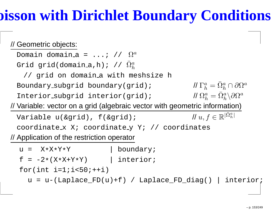### **Poisson with Dirichlet Boundary Conditions**

#### // Geometric objects:

Domain domain\_a =  $\ldots$ ; //  $\Omega^a$ Grid grid(domain\_a,h); //  $\bar{\Omega}^a_h$  $\boldsymbol{h}$ // grid on domain a with meshsize h Boundary\_subgrid boundary(grid); //  $\Gamma^a$  $\Omega^a_i = \bar{\Omega}^a_i \backslash \partial \Omega$  $\bar{a}_h^a=\bar{\Omega}^a_h$  $\partial^a_h\cap\partial\Omega^a$ Interior subgrid interior(grid); // // Variable: vector on <sup>a</sup> grid (algebraic vector with geometric information) $\bar{a}_h^a=\bar{\Omega}^a_h$  $\partial_h^a \backslash \partial \Omega^a$ 

Variable u(&grid), f(&grid);  $\in\mathbb{R}^{|\bar{\Omega}}$  $\texttt{coordinates}\; \mathbf{X} \boldsymbol{i} \;\; \texttt{coordinates}$ // Application of the restriction operator

- <sup>u</sup> <sup>=</sup> <sup>X</sup> \*X\*Yboundary;
- <sup>f</sup> <sup>=</sup> -2 \*(X\*X+Y\*Y) | interior;

for(int  $i=1$ ;  $i<50$ ;  $++i$ )

 $u = u - (Laplace_FD(u) + f)$  /  $Laplace_FD_diag()$  interior;

 $\it a$  $\frac{a}{h} \rvert$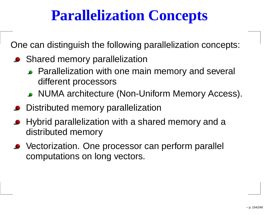#### **Parallelization Concepts**

One can distinguish the following parallelization concepts:

- Shared memory parallelization
	- Parallelization with one main memory and several different processors
	- NUMA architecture (Non-Uniform Memory Access).
- **•** Distributed memory parallelization
- Hybrid parallelization with <sup>a</sup> shared memory and <sup>a</sup>distributed memory
- Vectorization. One processor can perform parallel computations on long vectors.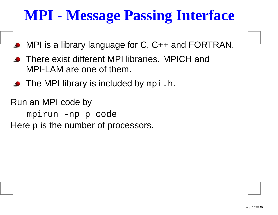### **MPI - Message Passing Interface**

- MPI is <sup>a</sup> library language for C, C++ and FORTRAN.
- **•** There exist different MPI libraries. MPICH and MPI-LAM are one of them.
- The MPI library is included by  $\mathtt{mpi}$  .  $\mathtt{h.}$

Run an MPI code bympirun -np <sup>p</sup> code Here  $\bm{{\rm p}}$  is the number of processors.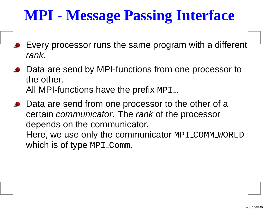# **MPI - Message Passing Interface**

- Every processor runs the same program with <sup>a</sup> different rank.
- Data are send by MPI-functions from one processor to the other. All MPI-functions have the prefix  $\texttt{MPI\_}$
- Data are send from one processor to the other of a certain *communicator*. The *rank* of the processor depends on the communicator. Here, we use only the communicator <code>MPI\_COMM\_WORLD</code>

which is of type <code>MPI\_Comm.</code>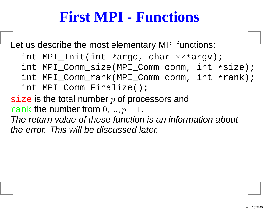#### **First MPI - Functions**

Let us describe the most elementary MPI functions:

- int MPI\_Init(int \*argc, char \*\*\*argv);
- int MPI\_Comm\_size(MPI\_Comm comm, int \*size);
- int MPI\_Comm\_rank(MPI\_Comm comm, int \*rank);<br>.
- int MPI\_Comm\_Finalize();
- $\mathtt{size}$  is the total number  $p$  of processors and  $\frac{\mathbf{rank}}{\mathbf{r}}$  the number from  $0,..., p$ −1.

 The return value of these function is an information about the error. This will be discussed later.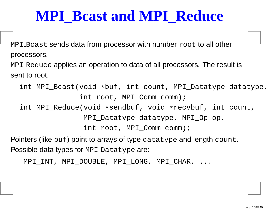#### **MPI\_Bcast and MPI\_Reduce**

<code>MPI\_Bcast</code> sends data from processor with number  ${\tt root}$  to all other processors.

<code>MPI\_Reduce</code> applies an operation to data of all processors. The result is sent to root.

```
int MPI_Bcast(void
*buf, int count, MPI_Datatype datatype,
              int root, MPI_Comm comm);
int MPI_Reduce(void
*sendbuf, void
*recvbuf, int count,
               MPI_Datatype datatype, MPI_Op op,
```
int root, MPI\_Comm comm);

Pointers (like  $\mathop{\rm{buf}}$  ) point to arrays of type  $\mathtt{datatype}$  and length  $\mathtt{count}.$  $\operatorname{\mathsf{Possible}}$  data types for <code>MPI\_Datatype</code> are:

MPI\_INT, MPI\_DOUBLE, MPI\_LONG, MPI\_CHAR, ...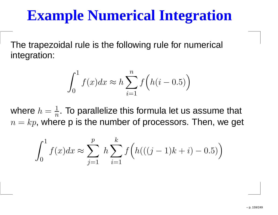#### **Example Numerical Integration**

The trapezoidal rule is the following rule for numerical integration:

$$
\int_0^1 f(x)dx \approx h \sum_{i=1}^n f\left(h(i-0.5)\right)
$$

where  $h=\frac{1}{2}$  $n=kr$ . W  $\frac{1}{n}.$  To parallelize this formula let us assume that  $k=p,$  where p is the number of processors. Then, we get

$$
\int_0^1 f(x)dx \approx \sum_{j=1}^p h \sum_{i=1}^k f\left(h(((j-1)k+i) - 0.5)\right)
$$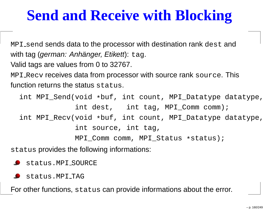### **Send and Receive with Blocking**

<code>MPI $\_$ send</code> sends data to the processor with destination rank  $\mathtt{dest}$  and with tag (*german: Anhänger, Etikett*): tag. Valid tags are values from 0 to 32767. <code>MPI\_Recv</code> receives data from processor with source rank  ${\tt source}$  . This function returns the status  $\operatorname{\textsf{status}}\nolimits$  .

int MPI\_Send(void \*buf, int count, MPI\_Datatype datatype, int dest, int tag, MPI Comm comm); int MPI\_Recv(void \*buf, int count, MPI\_Datatype datatype, int source, int tag, MPI\_Comm comm, MPI\_Status \*status);

status provides the following informations:

status.MPI SOURCE

status.MPI TAG

For other functions,  ${\tt status}$  can provide informations about the error.<br>-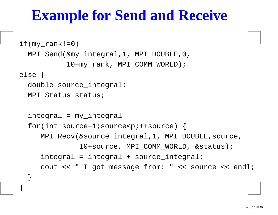#### **Example for Send and Receive**

```
if(my\_rank != 0)MPI_Send(&my_integral,1, MPI_DOUBLE,0,
           10+my_rank, MPI_COMM_WORLD);
else {
  double source integral;
 MPI Status status;
  integral = my_integral
  for(int source=1;source<p;++source) {
     MPI_Recv(&source_integral,1, MPI_DOUBLE,source,
              10+source, MPI COMM WORLD, &status);
     integral = integral + source integral;cout << " I got message from: " << source << endl;
  }
```
}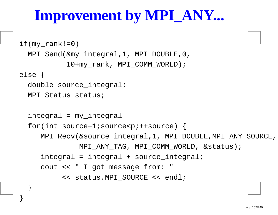### **Improvement by MPI\_ANY...**

```
if(my\_rank != 0)MPI_Send(&my_integral,1, MPI_DOUBLE,0,
           10+my_rank, MPI_COMM_WORLD);
else {
  double source integral;
  MPI Status status;
  integral = my_integral
  for(int source=1;source<p;++source) {
     MPI_Recv(&source_integral,1, MPI_DOUBLE,MPI_ANY_SOURCE,
              MPI ANY TAG, MPI COMM WORLD, &status);
     integral = integral + source integral;cout << " I got message from:
          << status.MPI_SOURCE << endl;
  }
```
}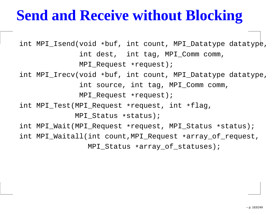### **Send and Receive without Blocking**

int MPI\_Isend(void \*buf, int count, MPI\_Datatype datatype, int dest, int tag, MPI\_Comm comm, MPI\_Request \*request); int MPI\_Irecv(void \*buf, int count, MPI\_Datatype datatype, int source, int tag, MPI\_Comm comm, MPI\_Request \*request); int MPI\_Test(MPI\_Request \*request, int \*flag,MPI\_Status \*status)*;* int MPI\_Wait(MPI\_Request \*request, MPI\_Status \*status); int MPI\_Waitall(int count,MPI\_Request \*array\_of\_request,MPI\_Status \*array\_of\_statuses);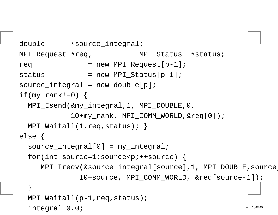```
double *source_integral;
MPI Request *req;
                 MPI Status *status;
req = new MPIRequest[p-1];status = new MPI Status[p-1];
source integral = new double[p];
if(my rank!=0) {
 MPI_Isend(&my_integral,1, MPI_DOUBLE,0,
           10+my rank, MPI COMM WORLD, &req[0]);
 MPI_Waitall(1,req,status); }
else {
  source integral[0] = my integral;
  for(int source=1;source<p;++source) {
    MPI_Irecv(&source_integral[source],1, MPI_DOUBLE,source,
             10+source, MPI COMM WORLD, &req[source-1]);
  }MPI_Waitall(p-1,req,status);integral=0.0;– p. 164/249
```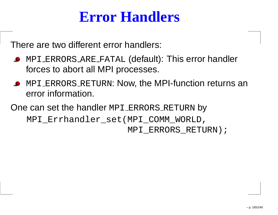#### **Error Handlers**

There are two different error handlers:

- <code>MPI\_ERRORS\_ARE\_FATAL</code> (default): This error handler forces to abort all MPI processes.
- <code>MPI\_ERRORS\_RETURN:</code> Now, the MPI-function returns an error information.

One can set the handler <code>MPI\_ERRORS\_RETURN</code> by MPI\_Errhandler\_set(MPI\_COMM\_WORLD,<code>MPI\_ERRORS\_RETURN</code> )  $\boldsymbol{i}$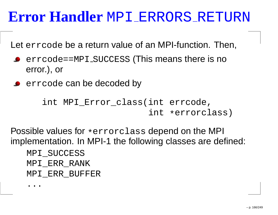# **Error Handler** MPI ERRORS RETURN

Let errcode be <sup>a</sup> return value of an MPI-function. Then,

- errcode==MPI\_SUCCESS (This means there is no error.), or
- errcode can be decoded by

```
int MPI_Error_class(int errcode,
                     int *errorclass)
```
Possible values for \*errorclass depend on the MPI implementation. In MPI-1 the following classes are defined:

```
MPI_SUCCESS
MPI_ERR_RANK
MPI_ERR_BUFFER
```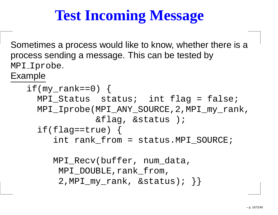# **Test Incoming Message**

Sometimes <sup>a</sup> process would like to know, whether there is <sup>a</sup>process sending <sup>a</sup> message. This can be tested byMPI\_Iprobe.<br>— Example

```
if(my\_rank==0) {
 MPI Status status; int flag = false;
 MPI_Iprobe(MPI_ANY_SOURCE,2,MPI_my_rank,&flag, &status );
  if(flag = true) {
     int rank_from = status.MPI_SOURCE;
     MPI Recv(buffer, num data,
      MPI_DOUBLE, rank_from,
      2,MPI_my_rank, &status); }
```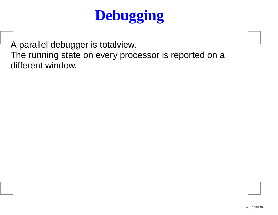# **Debugging**

A parallel debugger is totalview. The running state on every processor is reported on <sup>a</sup>different window.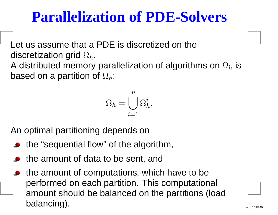#### **Parallelization of PDE-Solvers**

Let us assume that <sup>a</sup> PDE is discretized on thediscretization grid  $\Omega_h.$ 

A distributed memory parallelization of algorithms on  $\Omega_h$  $_h$  is based on a partition of  $\Omega_h$ :

$$
\Omega_h=\bigcup_{i=1}^p\Omega_h^i.
$$

An optimal partitioning depends on

- the "sequential flow" of the algorithm,
- the amount of data to be sent, and
- the amount of computations, which have to be performed on each partition. This computational amount should be balanced on the partitions (loadbalancing).– p. 169/249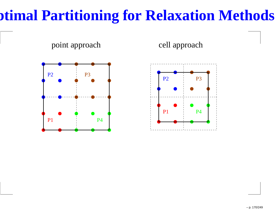### **Optimal Partitioning for Relaxation Methods**

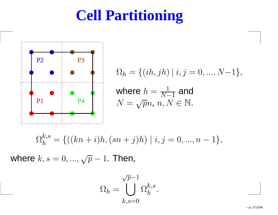### **Cell Partitioning**



$$
\Omega_h = \{ (ih, jh) \mid i, j = 0, ..., N-1 \},\
$$

where 
$$
h = \frac{1}{N-1}
$$
 and  
\n $N = \sqrt{p}n, n, N \in \mathbb{N}$ .

.

$$
\Omega_h^{k,s} = \{((kn+i)h, (sn+j)h) \mid i, j = 0, ..., n-1\},\
$$

where  $k,s=0,...,\sqrt{p}$  $1.$  Then,

$$
\Omega_h = \bigcup_{k,s=0}^{\sqrt{p}-1} \Omega_h^{k,s}
$$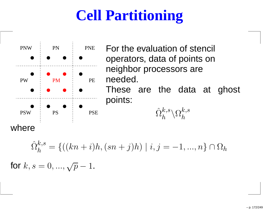# **Cell Partitioning**



 For the evaluation of stencil operators, data of points onneighbor processors areneeded.

These are the data at ghost points:

 $\hat{\Omega}_{h}^{k,s}\backslash\Omega_{h}^{k,s}$ 

 $\,h$ 

where

$$
\hat{\Omega}_h^{k,s} = \{((kn+i)h, (sn+j)h) \mid i, j = -1, ..., n\} \cap \Omega_h
$$

for  $k,s=0,...,\sqrt{p}$ −1.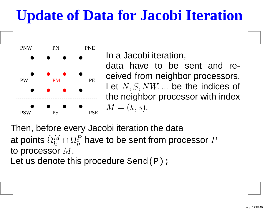# **Update of Data for Jacobi Iteration**



In <sup>a</sup> Jacobi iteration,

data have to be sent and received from neighbor processors. Let  $N,S,NW,...$  be the indices of the neighbor processor with index $M = (k, s)$ .

Then, before every Jacobi iteration the dataat points  $\hat{\Omega}_{h}^{M}\cap\Omega_{h}^{P}$  have to be sent from pro to processor  $M.$  $_{h}^{M}\cap\Omega_{h}^{P}$  $\,h$  $_{h}^{P}$  have to be sent from processor  $P$ 

Let us denote this procedure  $\texttt{Send} \left( \texttt{P} \right)$  ;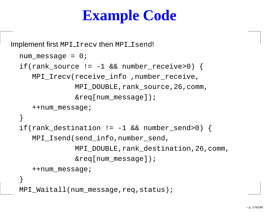# **Example Code**

```
\bm{\mathsf{Implement}} first <code>MPI_Irecv</code> then <code>MPI_Isend!</code>
 num message = 0;if(rank_source != -1 && number_receive>0) {
     MPI_Irecv(receive_info ,number_receive,
                MPI_DOUBLE,rank_source,26,comm,&req[num_message]);++num_message;}if(rank_destination != -1 && number_send>0) {
     MPI Isend(send info,number send,
                MPI_DOUBLE,rank_destination,26,comm,&req[num_message]);++num_message;}MPI_Waitall(num_message,req,status);
```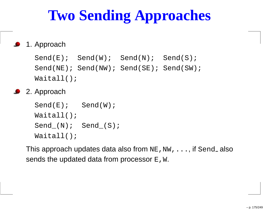# **Two Sending Approaches**

#### 1. Approach

```
Send(E); Send(W); Send(N); Send(S);
Send(NE); Send(NW); Send(SE); Send(SW);
Waitall();
```
2. Approach

```
Send(E); Send(W);
Waitall();
Send_{N}; Send(S);Waitall();
```
This approach updates data also from  ${\tt NE}$  ,  ${\tt NW}$  ,  $\ldots$  , if  ${\tt Send}_-$  also sends the updated data from processor  $\texttt{E}$  ,  $\texttt{W}.$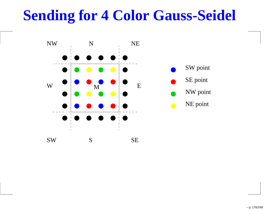#### **Sending for 4 Color Gauss-Seidel**

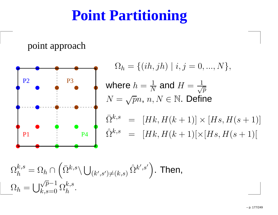#### **Point Partitioning**

point approach



 $\Omega_h=$  $\{(ih,jh) \mid i,j = 0,...,N\},$ where $h \$ =1 $\,N$  $\frac{1}{N}$  and  $H=$  $N=\sqrt{p}n, \, n, N\in {\mathbb N}.$  Define  $=\frac{1}{\sqrt{p}}$  $\bar{\Omega}^{k,s}$  = [Hk, H]  $\left($  $(k+1)] \times [Hs, H]$  $\left($  $(s + 1)$ ]  $\hat{\Omega}^{k,s}$  =  $[Hk, H(k+1)[\times [Hs, H(s+1)]$ 

$$
\Omega_h^{k,s} = \Omega_h \cap \left( \bar{\Omega}^{k,s} \backslash \bigcup_{(k',s') \neq (k,s)} \hat{\Omega}^{k',s'} \right).
$$
 Then,  

$$
\Omega_h = \bigcup_{k,s=0}^{\sqrt{p}-1} \Omega_h^{k,s}.
$$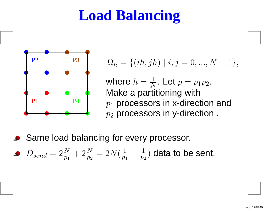### **Load Balancing**



$$
\Omega_h = \{ (ih, jh) \mid i, j = 0, ..., N - 1 \},\
$$

where  $h=\frac{1}{2}$  Make <sup>a</sup> partitioning with $\,N$  $\frac{1}{N}$ . Let  $p = p_1p_2$ .<br>titioning with  $p_1$  processors in x-dire  $\overline{p}_2$  $_1$  processors in x-direction and  $_{\rm 2}$  processors in y-direction .

**Same load balancing for every processor.** 

• 
$$
D_{send} = 2\frac{N}{p_1} + 2\frac{N}{p_2} = 2N(\frac{1}{p_1} + \frac{1}{p_2})
$$
 data to be sent.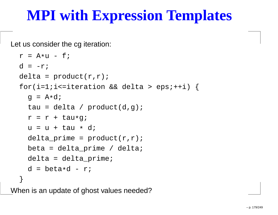#### **MPI with Expression Templates**

Let us consider the cg iteration:

```
r = A * u - fd = -r;
delta = product(r,r);for(i=1;i<=iteration && delta > eps;++i) {
  g = A * dtau = delta / product(d,g);r = r + tau
*g;u = u + tau * d;
  delta prime = product(r,r);
  beta = delta\_prime / delta;delta = delta_prime;
  d = beta
*d - r;
}
```
When is an update of ghost values needed?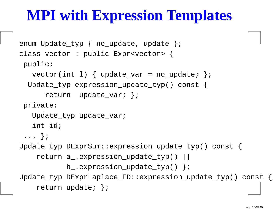#### **MPI with Expression Templates**

```
enum Update_typ { no_update, update };
class vector : public Expr<vector> {
 public:vector(int 1) { update_var = no_update; };Update_typ expression_update_typ() const {
      return update_var; };
 private:Update typ update var;
   int id;
 ... };
Update_typ DExprSum::expression_update_typ() const {
    return a_.expression_update_typ() ||
           b_.expression_update_typ() };
Update_typ DExprLaplace_FD::expression_update_typ() const {
    return update; };
```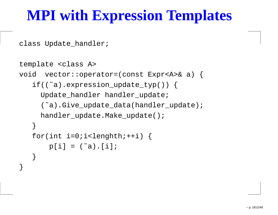### **MPI with Expression Templates**

class Update\_handler;

}

```
template <class A>
void vector::operator=(const Expr<A>& a) {
   if((˜a).expression_update_typ()) {
     Update_handler handler_update;
     (˜a).Give_update_data(handler_update);handler_update.Make_update();}for(int i=0;i<lenghth;++i) {
       p[i] = (a^*a) \cdot [i];}
```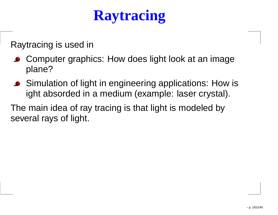# **Raytracing**

Raytracing is used in

- Computer graphics: How does light look at an image plane?
- Simulation of light in engineering applications: How isight absorded in <sup>a</sup> medium (example: laser crystal).

The main idea of ray tracing is that light is modeled byseveral rays of light.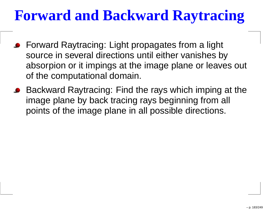# **Forward and Backward Raytracing**

- **Forward Raytracing: Light propagates from a light** source in several directions until either vanishes by absorpion or it impings at the image plane or leaves out of the computational domain.
- Backward Raytracing: Find the rays which imping at the image plane by back tracing rays beginning from all points of the image plane in all possible directions.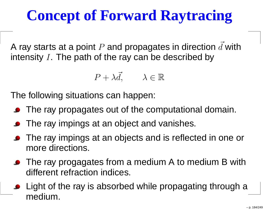# **Concept of Forward Raytracing**

A ray starts at a point  $P$  and propagates in direction  $\vec{d}$  with intensity  $I.$  The path of the ray can be described by

$$
P + \lambda \vec{d}, \qquad \lambda \in \mathbb{R}
$$

The following situations can happen:

- The ray propagates out of the computational domain.
- The ray impings at an object and vanishes.
- The ray impings at an objects and is reflected in one ormore directions.
- The ray progagates from a medium A to medium B with different refraction indices.
- Light of the ray is absorbed while propagating through <sup>a</sup>medium.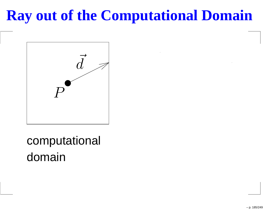# **Ray out of the Computational Domain**



computationaldomain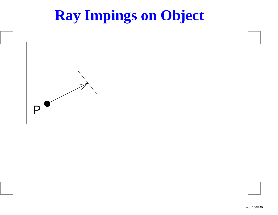# **Ray Impings on Object**

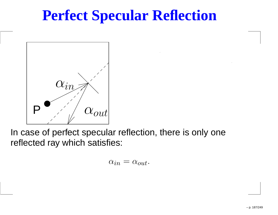# **Perfect Specular Reflection**



In case of perfect specular reflection, there is only onereflected ray which satisfies:

$$
\alpha_{in} = \alpha_{out}.
$$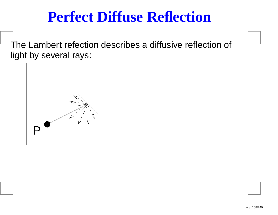## **Perfect Diffuse Reflection**

The Lambert refection describes <sup>a</sup> diffusive reflection of light by several rays:

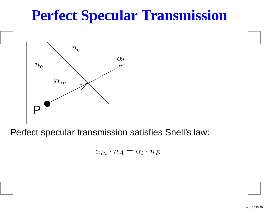# **Perfect Specular Transmission**



Perfect specular transmission satisfies Snell's law:

 $\alpha_{in} \cdot n_A = \alpha_t \cdot n_B.$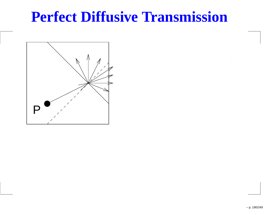#### **Perfect Diffusive Transmission**

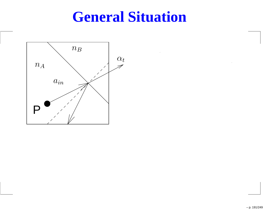#### **General Situation**

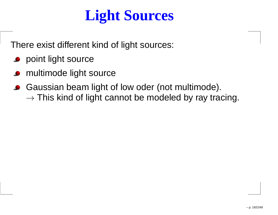# **Light Sources**

There exist different kind of light sources:

- **Provint light source**
- multimode light source
- Gaussian beam light of low oder (not multimode).  $\rightarrow$  This kind of light cannot be modeled by ray tracing.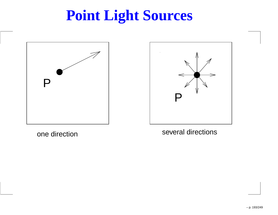# **Point Light Sources**





one direction

several directions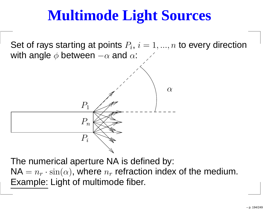# **Multimode Light Sources**

Set of rays starting at points  $P_i, \, i=1,...,n$  to every direction with angle  $\phi$  between  $-\alpha$  and  $\epsilon$  $-\alpha$  and  $\alpha$ :



The numerical aperture NA is defined by:  $\mathsf{NA}=n_r$  Example: Light of multimode fiber.  $r\cdot\sin(\alpha)$ , where  $n_r$  $_r$  refraction index of the medium.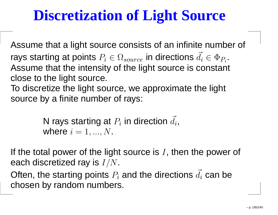# **Discretization of Light Source**

Assume that <sup>a</sup> light source consists of an infinite number of rays starting at points  $P_i\in\Omega_{source}$  in directions  $\vec{d}_i\in\Phi_{P_i}.$  Assume that the intensity of the light source is constant close to the light source.

To discretize the light source, we approximate the light source by <sup>a</sup> finite number of rays:

> N rays starting at  $P_i$  in direction  $\vec{d_i},$ where  $i = 1, ..., N$ .

If the total power of the light source is  $I,$  then the power of each discretized ray is  $I/N$ .

Often, the starting points  $P_i$  and the directions  $\vec{d_i}$  can be chosen by random numbers.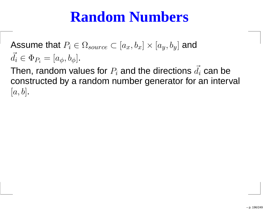## **Random Numbers**

Assume that  $P_i \in \Omega_{source} \subset [a_x, b_x] \times [a_y, b_y]$  and  $\vec{d}_i\in\Phi_{P_i}=[a_\phi,b_\phi]$  $b_i = [a_\phi, b_\phi].$ 

Then, random values for  $P_i$  and the directions  $\vec{d_i}$  can be constructed by <sup>a</sup> random number generator for an interval  $[a, b]$ .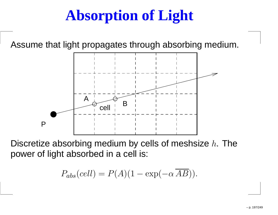# **Absorption of Light**

Assume that light propagates through absorbing medium.



Discretize absorbing medium by cells of meshsize  $h.$  The power of light absorbed in <sup>a</sup> cell is:

$$
P_{abs}(cell) = P(A)(1 - \exp(-\alpha \overline{AB})).
$$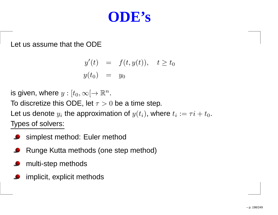#### **ODE's**

Let us assume that the ODE

$$
y'(t) = f(t, y(t)), \quad t \ge t_0
$$
  

$$
y(t_0) = y_0
$$

is given, where  $y: [t_0,\infty[ \rightarrow {\mathbb R}^n]$ . To discretive this ODF , let  $-\infty$  (

To discretize this ODE, let  $\tau>0$  be a time step.

Let us denote  $y_i$  the approximation of  $y(t_i)$ , where  $t_i := \tau i + t_0.$ 

Types of solvers:

- simplest method: Euler method $\bullet$
- Runge Kutta methods (one step method)
- multi-step methods
- implicit, explicit methods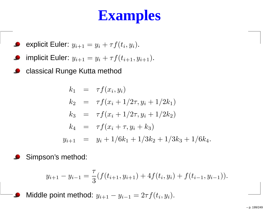# **Examples**

• explicit Euler: 
$$
y_{i+1} = y_i + \tau f(t_i, y_i)
$$
.

• implicit Euler: 
$$
y_{i+1} = y_i + \tau f(t_{i+1}, y_{i+1})
$$
.

classical Runge Kutta method $\bullet$ 

$$
k_1 = \tau f(x_i, y_i)
$$
  
\n
$$
k_2 = \tau f(x_i + 1/2\tau, y_i + 1/2k_1)
$$
  
\n
$$
k_3 = \tau f(x_i + 1/2\tau, y_i + 1/2k_2)
$$
  
\n
$$
k_4 = \tau f(x_i + \tau, y_i + k_3)
$$
  
\n
$$
y_{i+1} = y_i + 1/6k_1 + 1/3k_2 + 1/3k_3 + 1/6k_4.
$$

Simpson's method:

 $\bullet$ 

$$
y_{i+1} - y_{i-1} = \frac{\tau}{3} (f(t_{i+1}, y_{i+1}) + 4f(t_i, y_i) + f(t_{i-1}, y_{i-1})).
$$

Middle point method:  $y_{i+1} - y_{i-1} = 2\tau f(t_i, y_i)$ .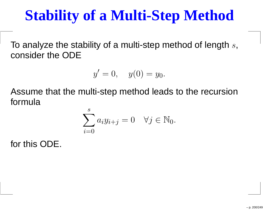# **Stability of <sup>a</sup> Multi-Step Method**

To analyze the stability of a multi-step method of length  $s,$ consider the ODE

$$
y' = 0
$$
,  $y(0) = y_0$ .

Assume that the multi-step method leads to the recursionformula

$$
\sum_{i=0}^{s} a_i y_{i+j} = 0 \quad \forall j \in \mathbb{N}_0.
$$

for this ODE.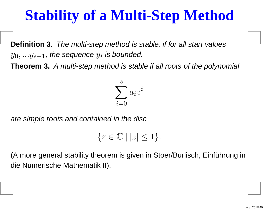# **Stability of <sup>a</sup> Multi-Step Method**

**Definition 3.** The multi-step method is stable, if for all start values $y_0,...y_{s-1}$ , the sequence  $y_i$  is bounded.

**Theorem 3.** A multi-step method is stable if all roots of the polynomial



are simple roots and contained in the disc

```
\{z \in \mathbb{C} \mid |z| \leq 1\}.
```
(A more general stability theorem is given in Stoer/Burlisch, Einführung indie Numerische Mathematik II).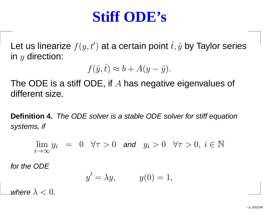#### **Stiff ODE's**

Let us linearize  $f(y, t')$  at a certain point  $\hat{t},\hat{y}$  by Taylor series in  $y$  direction:

$$
f(\hat{y}, \hat{t}) \approx b + A(y - \hat{y}).
$$

The ODE is a stiff ODE, if A has negative eigenvalues of<br>different size different size.

**Definition 4.** The ODE solver is <sup>a</sup> stable ODE solver for stiff equationsystems, if

$$
\lim_{i \to \infty} y_i = 0 \quad \forall \tau > 0 \quad \text{and} \quad y_i > 0 \quad \forall \tau > 0, \ i \in \mathbb{N}
$$

for the ODE

$$
y' = \lambda y, \qquad y(0) = 1,
$$

where  $\lambda < 0$ .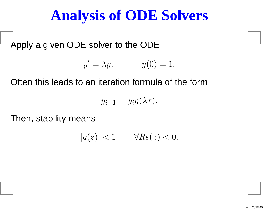## **Analysis of ODE Solvers**

Apply <sup>a</sup> given ODE solver to the ODE

$$
y' = \lambda y, \qquad y(0) = 1.
$$

Often this leads to an iteration formula of the form

 $y_{i+1}=y_ig(\lambda\tau).$ 

Then, stability means

$$
|g(z)| < 1 \qquad \forall Re(z) < 0.
$$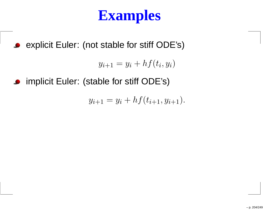# **Examples**

explicit Euler: (not stable for stiff ODE's)

 $y_{i+1} = y_i + h f(t_i, y_i)$ 

implicit Euler: (stable for stiff ODE's)

$$
y_{i+1} = y_i + h f(t_{i+1}, y_{i+1}).
$$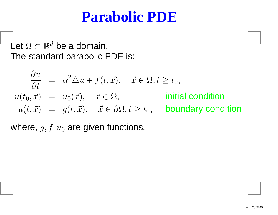#### **Parabolic PDE**

Let  $\Omega \subset \mathbb{R}^d$  be a domain.<br>The standard parabolic l The standard parabolic PDE is:

$$
\frac{\partial u}{\partial t} = \alpha^2 \Delta u + f(t, \vec{x}), \quad \vec{x} \in \Omega, t \ge t_0,
$$
  
\n
$$
u(t_0, \vec{x}) = u_0(\vec{x}), \quad \vec{x} \in \Omega, \quad \text{initial condition}
$$
  
\n
$$
u(t, \vec{x}) = g(t, \vec{x}), \quad \vec{x} \in \partial\Omega, t \ge t_0, \quad \text{boundary condition}
$$

where,  $g, f, u_0$  are given functions.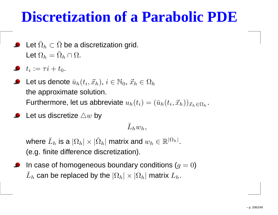## **Discretization of <sup>a</sup> Parabolic PDE**

- Let  $\bar{\Omega}_h\subset\bar{\Omega}$  be a discretization grid. Let  $\Omega_h=\bar{\Omega}_h\cap\Omega.$
- $t_i := \tau i + t_0.$
- Let us denote  $\bar{u}_h(t_i, \vec{x}_h),$   $i\in\mathbb{N}_0,$   $\vec{x}_h\in\Omega_h$  the approximate solution. Furthermore, let us abbreviate  $u_h(t_i) = (\bar{u})$  $_h(t_i, \vec{x}_h))_{\vec{x}_h \in \Omega_h}.$
- Let us discretize  $\triangle w$  by

 $\bar L_h w_h,$ 

where  $\bar{L}_h$  (e.g. finite difference discretization).  $\hat{h}_h$  is a  $|\Omega_h|\times|\bar{\Omega}_h|$  matrix and  $w_h\in\mathbb{R}^{|\Omega_h|}.$ 

In case of homogeneous boundary conditions  $(g=0)$  $\bar L_h$  $_h$  can be replaced by the  $|\Omega_h|\times |\Omega_h|$  matrix  $L_h.$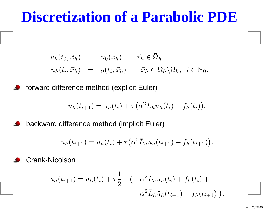#### **Discretization of <sup>a</sup> Parabolic PDE**

$$
u_h(t_0, \vec{x}_h) = u_0(\vec{x}_h) \quad \vec{x}_h \in \bar{\Omega}_h
$$
  

$$
u_h(t_i, \vec{x}_h) = g(t_i, \vec{x}_h) \quad \vec{x}_h \in \bar{\Omega}_h \backslash \Omega_h, \quad i \in \mathbb{N}_0.
$$

forward difference method (explicit Euler) $\bullet$ 

$$
\bar{u}_h(t_{i+1}) = \bar{u}_h(t_i) + \tau (\alpha^2 \bar{L}_h \bar{u}_h(t_i) + f_h(t_i)).
$$

backward difference method (implicit Euler)

$$
\bar{u}_h(t_{i+1}) = \bar{u}_h(t_i) + \tau (\alpha^2 \bar{L}_h \bar{u}_h(t_{i+1}) + f_h(t_{i+1})).
$$

Crank-Nicolson

$$
\bar{u}_h(t_{i+1}) = \bar{u}_h(t_i) + \tau \frac{1}{2} \quad ( \alpha^2 \bar{L}_h \bar{u}_h(t_i) + f_h(t_i) + \alpha^2 \bar{L}_h \bar{u}_h(t_{i+1}) + f_h(t_{i+1}) )
$$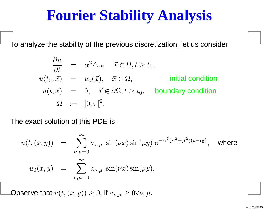## **Fourier Stability Analysis**

To analyze the stability of the previous discretization, let us consider

$$
\frac{\partial u}{\partial t} = \alpha^2 \triangle u, \quad \vec{x} \in \Omega, t \ge t_0,
$$
  
\n
$$
u(t_0, \vec{x}) = u_0(\vec{x}), \quad \vec{x} \in \Omega, \qquad \text{initial condition}
$$
  
\n
$$
u(t, \vec{x}) = 0, \quad \vec{x} \in \partial\Omega, t \ge t_0, \qquad \text{boundary condition}
$$
  
\n
$$
\Omega := ]0, \pi[^2.
$$

The exact solution of this PDE is

$$
u(t, (x, y)) = \sum_{\nu, \mu=0}^{\infty} a_{\nu, \mu} \sin(\nu x) \sin(\mu y) e^{-\alpha^2 (\nu^2 + \mu^2)(t - t_0)}, \text{ where}
$$
  

$$
u_0(x, y) = \sum_{\nu, \mu=0}^{\infty} a_{\nu, \mu} \sin(\nu x) \sin(\mu y).
$$

Observe that  $u(t,(x,y))\geq 0$ , if  $a_{\nu,\mu}\geq 0 \forall \nu,\mu.$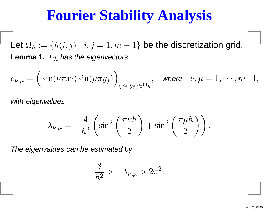# **Fourier Stability Analysis**

Let  $\Omega_h := \{ h(i,j) \mid i,j = 1, m \}$  $\tt Lemma 1.$   $L_h$  has the eigenvectors  $-1\}$  be the discretization grid.

$$
e_{\nu,\mu} = \Big(\sin(\nu\pi x_i)\sin(\mu\pi y_j)\Big)_{(x_i,y_j)\in\Omega_h}, \quad \text{where} \quad \nu,\mu = 1,\cdots,m-1,
$$

with eigenvalues

$$
\lambda_{\nu,\mu} = -\frac{4}{h^2} \left( \sin^2 \left( \frac{\pi \nu h}{2} \right) + \sin^2 \left( \frac{\pi \mu h}{2} \right) \right).
$$

The eigenvalues can be estimated by

$$
\frac{8}{h^2} > -\lambda_{\nu,\mu} > 2\pi^2.
$$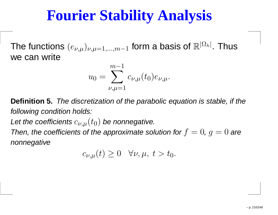# **Fourier Stability Analysis**

The functions  $(e_{\nu,\mu})_{\nu,\mu=1,...,m}$  we can write−1 $_1$  form a basis of  $\mathbb{R}^{|\Omega|}$  $^{\left[ h\right] }$ . Thus

$$
u_0 = \sum_{\nu,\mu=1}^{m-1} c_{\nu,\mu}(t_0) e_{\nu,\mu}.
$$

**Definition 5.** The discretization of the parabolic equation is stable, if thefollowing condition holds:

Let the coefficients  $c_{\nu,\mu}(t_0)$  be nonnegative.

Then, the coefficients of the approximate solution for  $f=0,\,g=0$  are nonnegative

$$
c_{\nu,\mu}(t) \ge 0 \quad \forall \nu,\mu, \ t > t_0.
$$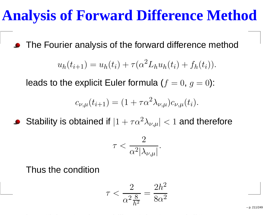# **Analysis of Forward Difference Method**

The Fourier analysis of the forward difference method

$$
u_h(t_{i+1}) = u_h(t_i) + \tau(\alpha^2 L_h u_h(t_i) + f_h(t_i)).
$$

leads to the explicit Euler formula  $(f=0,\,g=0)$ :

$$
c_{\nu,\mu}(t_{i+1}) = (1 + \tau \alpha^2 \lambda_{\nu,\mu}) c_{\nu,\mu}(t_i).
$$

Stability is obtained if  $|1+\tau\alpha\>$ 2 ${}^2\lambda_{\nu,\mu}| < 1$  and therefore

$$
\tau < \frac{2}{\alpha^2 |\lambda_{\nu,\mu}|}
$$

Thus the condition

$$
\tau < \frac{2}{\alpha^2 \frac{8}{h^2}} = \frac{2h^2}{8\alpha^2}
$$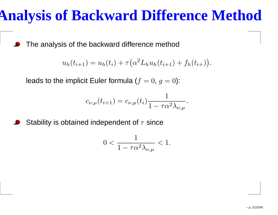# **Analysis of Backward Difference Method**

The analysis of the backward difference method

$$
u_h(t_{i+1}) = u_h(t_i) + \tau(\alpha^2 L_h u_h(t_{i+1}) + f_h(t_{i+1})).
$$

leads to the implicit Euler formula ( $f=0,\,g=0$ ):

$$
c_{\nu,\mu}(t_{i+1}) = c_{\nu,\mu}(t_i) \frac{1}{1 - \tau \alpha^2 \lambda_{\nu,\mu}}.
$$

Stability is obtained independent of  $\tau$  since

$$
0 < \frac{1}{1 - \tau \alpha^2 \lambda_{\nu, \mu}} < 1.
$$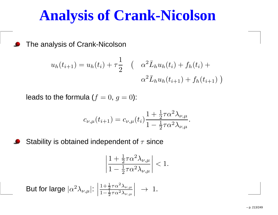#### **Analysis of Crank-Nicolson**

The analysis of Crank-Nicolson

$$
u_h(t_{i+1}) = u_h(t_i) + \tau \frac{1}{2} \quad \left( \quad \alpha^2 \bar{L}_h u_h(t_i) + f_h(t_i) + \alpha^2 \bar{L}_h u_h(t_{i+1}) + f_h(t_{i+1}) \right)
$$

leads to the formula  $(f=0,\,g=0)$ :

$$
c_{\nu,\mu}(t_{i+1}) = c_{\nu,\mu}(t_i) \frac{1 + \frac{1}{2}\tau \alpha^2 \lambda_{\nu,\mu}}{1 - \frac{1}{2}\tau \alpha^2 \lambda_{\nu,\mu}}.
$$

Stability is obtained independent of  $\tau$  since

$$
\left|\frac{1+\frac{1}{2}\tau\alpha^2\lambda_{\nu,\mu}}{1-\frac{1}{2}\tau\alpha^2\lambda_{\nu,\mu}}\right|<1.
$$

But for large 
$$
|\alpha^2 \lambda_{\nu,\mu}|
$$
:  $\left| \frac{1 + \frac{1}{2} \tau \alpha^2 \lambda_{\nu,\mu}}{1 - \frac{1}{2} \tau \alpha^2 \lambda_{\nu,\mu}} \right| \rightarrow 1$ .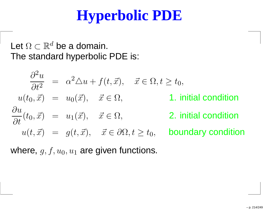# **Hyperbolic PDE**

#### Let  $\Omega\subset\mathbb{R}^d$  be a domain. The standard hyperbolic PDE is:

$$
\frac{\partial^2 u}{\partial t^2} = \alpha^2 \triangle u + f(t, \vec{x}), \quad \vec{x} \in \Omega, t \ge t_0,
$$
  
\n
$$
u(t_0, \vec{x}) = u_0(\vec{x}), \quad \vec{x} \in \Omega,
$$
  
\n1. initial condition  
\n
$$
\frac{\partial u}{\partial t}(t_0, \vec{x}) = u_1(\vec{x}), \quad \vec{x} \in \Omega,
$$
  
\n2. initial condition  
\n
$$
u(t, \vec{x}) = g(t, \vec{x}), \quad \vec{x} \in \partial\Omega, t \ge t_0,
$$
  
\nboundary condition

where,  $g, f, u_0, u_1$  $_1$  are given functions.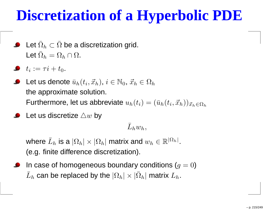# **Discretization of <sup>a</sup> Hyperbolic PDE**

- Let  $\bar{\Omega}_h\subset\bar{\Omega}$  be a discretization grid. Let  $\bar{\Omega}_h = \Omega_h \cap \Omega$ .
- $t_i := \tau i + t_0.$
- Let us denote  $\bar{u}_h(t_i, \vec{x}_h),$   $i\in\mathbb{N}_0,$   $\vec{x}_h\in\Omega_h$  the approximate solution. Furthermore, let us abbreviate  $u_h(t_i) = (\bar{u})$  $_h(t_i, \vec{x}_h))_{\vec{x}_h \in \Omega_h}$
- Let us discretize  $\triangle w$  by

 $\bar L_h w_h,$ 

where  $\bar{L}_h$  (e.g. finite difference discretization).  $\mathbf{h}_h$  is a  $|\Omega_h| \times |\Omega_h|$  matrix and  $w_h \in \mathbb{R}^{|\Omega_h|}$  $\left. h \right|$  .

In case of homogeneous boundary conditions  $(g=0)$  $\bar L_h$  $_h$  can be replaced by the  $|\Omega_h|\times|\bar\Omega_h|$  matrix  $L_h.$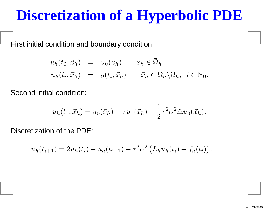#### **Discretization of <sup>a</sup> Hyperbolic PDE**

First initial condition and boundary condition:

$$
u_h(t_0, \vec{x}_h) = u_0(\vec{x}_h) \quad \vec{x}_h \in \bar{\Omega}_h
$$
  

$$
u_h(t_i, \vec{x}_h) = g(t_i, \vec{x}_h) \quad \vec{x}_h \in \bar{\Omega}_h \backslash \Omega_h, \quad i \in \mathbb{N}_0.
$$

Second initial condition:

$$
u_h(t_1, \vec{x}_h) = u_0(\vec{x}_h) + \tau u_1(\vec{x}_h) + \frac{1}{2}\tau^2 \alpha^2 \triangle u_0(\vec{x}_h).
$$

Discretization of the PDE:

$$
u_h(t_{i+1}) = 2u_h(t_i) - u_h(t_{i-1}) + \tau^2 \alpha^2 \left( \bar{L}_h u_h(t_i) + f_h(t_i) \right).
$$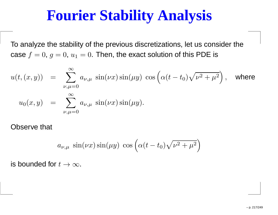## **Fourier Stability Analysis**

To analyze the stability of the previous discretizations, let us consider thecase  $f = 0$ ,  $g = 0$ ,  $u_1$  $_{1} = 0$ . Then, the exact solution of this PDE is

$$
u(t,(x,y)) = \sum_{\nu,\mu=0}^{\infty} a_{\nu,\mu} \sin(\nu x) \sin(\mu y) \cos\left(\alpha (t-t_0) \sqrt{\nu^2 + \mu^2}\right), \text{ where}
$$
  

$$
u_0(x,y) = \sum_{\nu,\mu=0}^{\infty} a_{\nu,\mu} \sin(\nu x) \sin(\mu y).
$$

Observe that

$$
a_{\nu,\mu} \sin(\nu x) \sin(\mu y) \cos\left(\alpha(t - t_0)\sqrt{\nu^2 + \mu^2}\right)
$$

is bounded for  $t\rightarrow\infty.$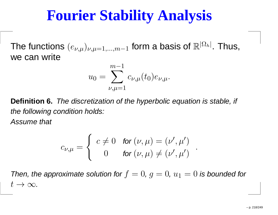## **Fourier Stability Analysis**

The functions  $(e_{\nu,\mu})_{\nu,\mu=1,...,m}$  we can write−1 $_1$  form a basis of  $\mathbb{R}^{|\Omega|}$  $^{\left[ h\right] }$ . Thus,

$$
u_0 = \sum_{\nu,\mu=1}^{m-1} c_{\nu,\mu}(t_0) e_{\nu,\mu}.
$$

**Definition 6.** The discretization of the hyperbolic equation is stable, if the following condition holds:

Assume that

$$
c_{\nu,\mu} = \begin{cases} c \neq 0 & \text{for } (\nu,\mu) = (\nu',\mu') \\ 0 & \text{for } (\nu,\mu) \neq (\nu',\mu') \end{cases}.
$$

Then, the approximate solution for  $f=0$ ,  $g=0$ ,  $u_1=0$  is bounded for  $t\to\infty$ .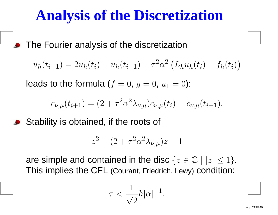## **Analysis of the Discretization**

The Fourier analysis of the discretization

$$
u_h(t_{i+1}) = 2u_h(t_i) - u_h(t_{i-1}) + \tau^2 \alpha^2 \left( \bar{L}_h u_h(t_i) + f_h(t_i) \right)
$$

leads to the formula ( $f=0,\,g=0,\,u_1$  $_1 = 0$ ):

$$
c_{\nu,\mu}(t_{i+1}) = (2 + \tau^2 \alpha^2 \lambda_{\nu,\mu}) c_{\nu,\mu}(t_i) - c_{\nu,\mu}(t_{i-1}).
$$

Stability is obtained, if the roots of

$$
z^2 - (2 + \tau^2 \alpha^2 \lambda_{\nu,\mu}) z + 1
$$

are simple and contained in the disc  $\{z\in\mathbb{C}\mid |z|\leq 1\}.$ This implies the CFL (Courant, Friedrich, Lewy) condition:

$$
\tau < \frac{1}{\sqrt{2}}h|\alpha|^{-1}
$$

.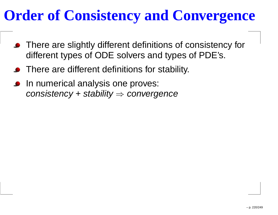## **Order of Consistency and Convergence**

- There are slightly different definitions of consistency fordifferent types of ODE solvers and types of PDE's.
- There are different definitions for stability.
- In numerical analysis one proves:  $consistency + stability \Rightarrow convergence$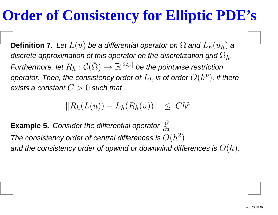## **Order of Consistency for Elliptic PDE's**

**Definition 7.** Let  $L(u)$  be a differential operator on  $\Omega$  and  $L_h(u_h)$  a<br>and  $L_h(u_h)$ discrete approximation of this operator on the discretization grid  $\Omega_h.$ Furthermore, let  $R_h:\mathcal{C}(\bar\Omega)\to\mathbb{R}^{|\Omega_h|}$  be the pointwise restrictio.  $h\,:\mathcal C(\bar \Omega)$  $\to\mathbb{R}^{|\Omega_h|}$  be the pointwise restriction operator. Then, the consistency order of  $L_h$  is of order  $O(h^p)$ , if there exists a constant  $C>0$  such that

> $\|R_h(L(u))$  $-L_h(R_h(u))\| \leq Ch^p.$

**Example 5.** Consider the differential operator∂ $\partial x$  . The consistency order of central differences is  $O(h^2)$ and the consistency order of upwind or downwind differences is  $O(h).$  $^{2})$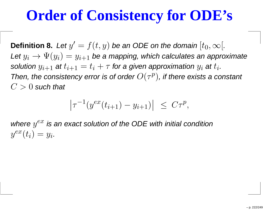## **Order of Consistency for ODE's**

**Definition 8.** Let yLet  $y_i \to \Psi(y_i) = y_{i+1}$  be a mapping, which calculates an approximate<br>solution  $w_{i+1}$  at  $t_{i+1} = t_i + \tau$  for a given approximation  $w_i$  at  $t_i$  $^\prime$   $=$  $f(t,y)$  be an ODE on the domain  $[t_0,\infty[.$ solution  $y_{i+1}$  at  $t_{i+1}=t_i+\tau$  for a given approximation  $y_i$  at  $t_i.$  $then  $\alpha$ <sup>n</sup>$ Then, the consistency error is of order  $O(\tau^p)$ , if there exists a constant  $C>0$  such that

$$
\left|\tau^{-1}(y^{ex}(t_{i+1}) - y_{i+1})\right| \le C\tau^p,
$$

where  $y^{ex}$  is an exact solution of the ODE with initial condition  $y^{ex}(t_i)=y_i.$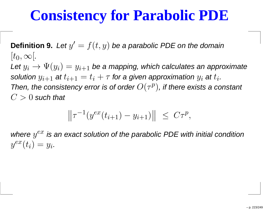## **Consistency for Parabolic PDE**

**Definition 9.** Let y $^\prime$   $=$  $f(t,y)$  be a parabolic PDE on the domain  $[t_0,\infty[$ . Let  $y_i \to \Psi(y_i) = y_{i+1}$  be a mapping, which calculates an approximate<br>solution  $w_i$  at  $t_{i+1} = t_i + \tau$  for a given approximation  $w_i$  at  $t_i$ solution  $y_{i+1}$  at  $t_{i+1}=t_i+\tau$  for a given approximation  $y_i$  at  $t_i.$  $the = -e^-$ Then, the consistency error is of order  $O(\tau^p)$ , if there exists a constant  $C>0$  such that

$$
\left\|\tau^{-1}(y^{ex}(t_{i+1}) - y_{i+1})\right\| \le C\tau^p,
$$

where  $y^{ex}$  is an exact solution of the parabolic PDE with initial condition  $y^{ex}(t_i)=y_i.$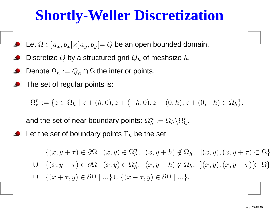- Let  $\Omega \subset ]a_x, b_x[\times]a_y, b_y[ = Q$  be an open bounded domain.
- Discretize  $Q$  by a structured grid  $Q_h$  $_{h}$  of meshsize  $h$ .
- Denote  $\Omega_h:=Q_h\cap\Omega$  the interior points.
- The set of regular points is:

 $\Omega^r_{\scriptscriptstyle\! L}$  $I_h^r:=\{z\in\Omega_h$  $| h | z + (h, 0), z + (-h, 0), z + (0, h), z + (0, -h) \in \Omega_h \}.$ 

and the set of near boundary points:  $\Omega_h^n$  $\hbar$  $\Omega_h^n := \Omega_h \backslash \Omega_h^r$  $h$  .

Let the set of boundary points  $\Gamma_h$  be the set

 $\{(x, y + \tau) \in \partial\Omega \mid (x, y) \in \Omega_h^n\}$  $h_n^n$ ,  $(x, y+h) \notin \Omega_h$ ,  $](x, y), (x, y+\tau)[\subset \Omega\}$  $\cup \{(x,y)$  $(-\tau) \in \partial\Omega \mid (x, y) \in \Omega_h^n$ ∪ {(x + τ, y) ∈  $\partial\Omega \mid ...$ } ∪ {(x - τ, y) ∈  $\partial\Omega \mid ...$ }.  $\frac{n}{h}, ~~~(x,y)$  $(-h) \notin \Omega_h, \;](x, y), (x, y)$  $\tau)[\subset \Omega\}$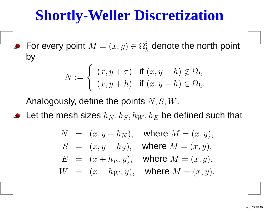For every point  $M=(x,y)\in \Omega^i_h$ hv  $\frac{\imath}{h}$  denote the north point by

$$
N := \begin{cases} (x, y + \tau) & \text{if } (x, y + h) \notin \Omega_h \\ (x, y + h) & \text{if } (x, y + h) \in \Omega_h. \end{cases}
$$

Analogously, define the points  $N,S,W$ .

Let the mesh sizes  $h_N$  $_N, h_S, h_W$  $_W, h_1$  $\,E$  $_E$  be defined such that

$$
N = (x, y + h_N),
$$
 where  $M = (x, y),$   
\n
$$
S = (x, y - h_S),
$$
 where  $M = (x, y),$   
\n
$$
E = (x + h_E, y),
$$
 where  $M = (x, y),$   
\n
$$
W = (x - h_W, y),
$$
 where  $M = (x, y).$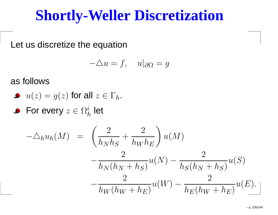Let us discretize the equation

$$
-\triangle u = f, \quad u|_{\partial \Omega} = g
$$

as follows

• 
$$
u(z) = g(z)
$$
 for all  $z \in \Gamma_h$ .

For every  $z\in\Omega^i_h$  $\frac{\imath}{h}$  let

$$
-\Delta_h u_h(M) = \left(\frac{2}{h_N h_S} + \frac{2}{h_W h_E}\right) u(M)
$$
  

$$
-\frac{2}{h_N (h_N + h_S)} u(N) - \frac{2}{h_S (h_N + h_S)} u(S)
$$
  

$$
-\frac{2}{h_W (h_W + h_E)} u(W) - \frac{2}{h_E (h_W + h_E)} u(E).
$$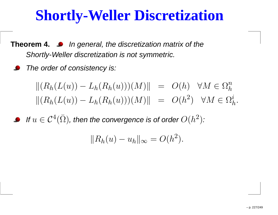- **Theorem 4.** In general, the discretization matrix of theShortly-Weller discretization is not symmetric.
	- The order of consistency is:

$$
\begin{aligned} \|(R_h(L(u)) - L_h(R_h(u)))(M)\| &= O(h) \quad \forall M \in \Omega_h^n \\ \|(R_h(L(u)) - L_h(R_h(u)))(M)\| &= O(h^2) \quad \forall M \in \Omega_h^i. \end{aligned}
$$

If  $u \in \mathcal{C}^4$  $^4(\bar{\Omega})$ , then the convergence is of order  $O(h^2)$  $^{2}\big).$ 

$$
||R_h(u) - u_h||_{\infty} = O(h^2).
$$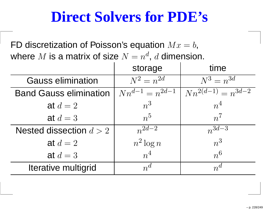## **Direct Solvers for PDE's**

FD discretization of Poisson's equation  $Mx = b,$ where  $M$  is a matrix of size  $N=n^d, d$  dimensio d $\ ^{d}$ ,  $d$  dimension.

|                               | storage               | time                     |
|-------------------------------|-----------------------|--------------------------|
| <b>Gauss elimination</b>      | $N^2 = n^{2d}$        | $N^3 = n^{3d}$           |
| <b>Band Gauss elimination</b> | $Nn^{d-1} = n^{2d-1}$ | $Nn^{2(d-1)} = n^{3d-2}$ |
| at $d=2$                      | $n^3$                 | $n^4$                    |
| at $d=3$                      | $n^{5}$               | $n^7$                    |
| Nested dissection $d > 2$     | $n^{2d-2}$            | $n^{3d-3}$               |
| at $d=2$                      | $n^2 \log n$          | $n^3$                    |
| at $d=3$                      | $n^4$                 | $n^{6}$                  |
| Iterative multigrid           | $n^d$                 | $n^d$                    |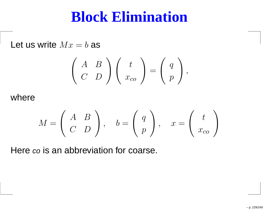Let us write  $Mx = b$  as

$$
\left(\begin{array}{cc} A & B \\ C & D \end{array}\right) \left(\begin{array}{c} t \\ x_{co} \end{array}\right) = \left(\begin{array}{c} q \\ p \end{array}\right),
$$

where

$$
M = \left(\begin{array}{cc} A & B \\ C & D \end{array}\right), \quad b = \left(\begin{array}{c} q \\ p \end{array}\right), \quad x = \left(\begin{array}{c} t \\ x_{co} \end{array}\right)
$$

Here *co* is an abbreviation for coarse.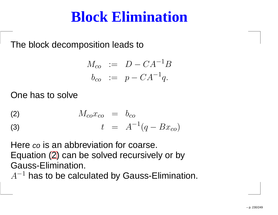The block decomposition leads to

$$
M_{co} := D - CA^{-1}B
$$
  

$$
b_{co} := p - CA^{-1}q.
$$

One has to solve

$$
M_{co}x_{co} = b_{co}
$$

(3) 
$$
t = A^{-1}(q - Bx_{co})
$$

Here co is an abbreviation for coarse.<br> $\overline{\phantom{a}}$ Equation [\(2](#page-229-0)) can be solved recursively or byGauss-Elimination.

<span id="page-229-0"></span> $A^{-1}$  has to be calculated by Gauss-Elimination.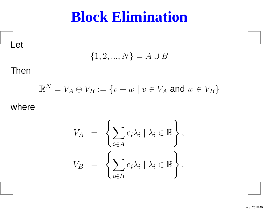Let

$$
\{1,2,...,N\}=A\cup B
$$

#### Then

$$
\mathbb{R}^N = V_A \oplus V_B := \{ v + w \mid v \in V_A \text{ and } w \in V_B \}
$$

#### where

$$
V_A = \left\{ \sum_{i \in A} e_i \lambda_i \mid \lambda_i \in \mathbb{R} \right\},
$$
  

$$
V_B = \left\{ \sum_{i \in B} e_i \lambda_i \mid \lambda_i \in \mathbb{R} \right\}.
$$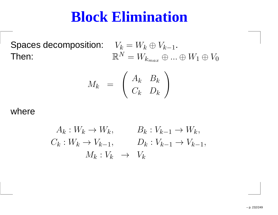Spaces decomposition: Then:

$$
V_k = W_k \oplus V_{k-1}.
$$
  

$$
\mathbb{R}^N = W_{k_{max}} \oplus ... \oplus W_1 \oplus V_0
$$

$$
M_k = \left(\begin{array}{cc} A_k & B_k \\ C_k & D_k \end{array}\right)
$$

#### where

$$
A_k: W_k \to W_k, \qquad B_k: V_{k-1} \to W_k,
$$
  

$$
C_k: W_k \to V_{k-1}, \qquad D_k: V_{k-1} \to V_{k-1},
$$
  

$$
M_k: V_k \to V_k
$$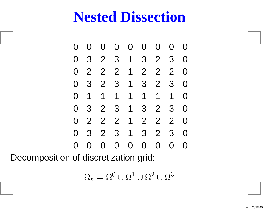0 0 0 0 0 0 0 0 0 3 2 3 1 3 2 3 0 2 2 2 1 2 2 2 0 3 2 3 1 3 2 3 0 1 1 1 1 1 1 1 0 3 2 3 1 3 2 3 0 2 2 2 1 2 2 2 0 3 2 3 1 3 2 3 0 0 0 0 0 0 0 0

Decomposition of discretization grid:

$$
\Omega_h = \Omega^0 \cup \Omega^1 \cup \Omega^2 \cup \Omega^3
$$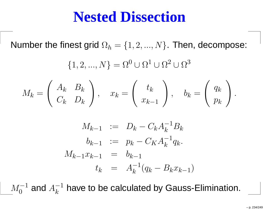Number the finest grid  $\Omega_h=$  $\{1,2,...,N\}$ . Then, decompose:

$$
\{1, 2, ..., N\} = \Omega^0 \cup \Omega^1 \cup \Omega^2 \cup \Omega^3
$$

$$
M_k = \begin{pmatrix} A_k & B_k \\ C_k & D_k \end{pmatrix}, \quad x_k = \begin{pmatrix} t_k \\ x_{k-1} \end{pmatrix}, \quad b_k = \begin{pmatrix} q_k \\ p_k \end{pmatrix}
$$

$$
M_{k-1} := D_k - C_k A_k^{-1} B_k
$$
  
\n
$$
b_{k-1} := p_k - C_K A_k^{-1} q_k.
$$
  
\n
$$
M_{k-1} x_{k-1} = b_{k-1}
$$
  
\n
$$
t_k = A_k^{-1} (q_k - B_k x_{k-1})
$$

 $M_{\rm \alpha}^{-}$ 1 0 $_0^{-1}$  and  $A_k^-$ 1 $k_\parallel$  $_{k}^{-1}$  have to be calculated by Gauss-Elimination.

.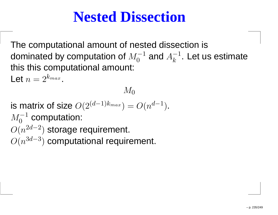The computational amount of nested dissection isdominated by computation of  $M_0^{-1}$  and  $A_k^{-1}.$  Let  $\mathfrak a$  0 $_0^{-1}$  and  $A_k^{-1}$  $k_\parallel$  $\overline{k}^{-1}$ . Let us estimate this this computational amount:

 $M_0$ 

Let  $n = 2^{k_{max}}$ .

is matrix of size  $O(2^{(d-1)})$  $M_{\rm o}^{-1}$  computat  $^{k_{max}})=O(n$  $\emph{d}$ −1 $\left( \frac{1}{2} \right)$ .  $O(n$  0 $\overline{0}^{-1}$  computation:  $O(n)$ 2 $\emph{d}$ −2 $^{2})$  storage requirement. 3d−3 $^{3})$  computational requirement.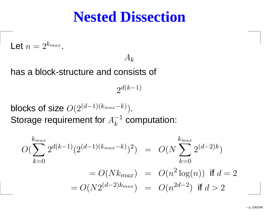Let 
$$
n = 2^{k_{max}}
$$

 $A_{k}% =\frac{1}{\lambda_{1}}\sum_{k}\left( \left[ \lambda_{1}^{A}\left( t_{k}\right) \boldsymbol{\hat{x}}_{k}\right] ^{k}\right) ^{k}$ 

has <sup>a</sup> block-structure and consists of

.

 $2^{d(k-1)}$ 

blocks of size  $O(2^{(d-1)(k_{max}}))$ Storage requirement for  $A_k^+$ − $^{k)}).$ 1 $k_\parallel$  $\overline{k}^{-1}$  computation:

$$
O(\sum_{k=0}^{k_{max}} 2^{d(k-1)} (2^{(d-1)(k_{max} - k)})^2) = O(N \sum_{k=0}^{k_{max}} 2^{(d-2)k})
$$
  
=  $O(Nk_{max}) = O(n^2 \log(n))$  if  $d = 2$   
=  $O(N2^{(d-2)k_{max}}) = O(n^{2d-2})$  if  $d > 2$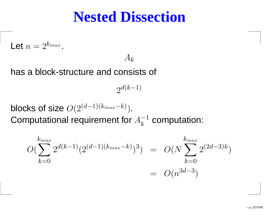Let 
$$
n = 2^{k_{max}}
$$

 $A_{k}% =\frac{1}{\lambda_{1}}\sum_{k}\left( \left[ \lambda_{1}^{A}\left( t_{k}\right) \boldsymbol{\hat{x}}_{k}\right] ^{k}\right) ^{k}$ 

has <sup>a</sup> block-structure and consists of

.

 $2^{d(k-1)}$ 

blocks of size  $O(2^{(d-1)(k_{max}}))$  Computational requirement for − $^{k)}).$  $A^-$ 1 $k_\parallel$  $\overline{k}^{-1}$  computation:

$$
O(\sum_{k=0}^{k_{max}} 2^{d(k-1)} (2^{(d-1)(k_{max} - k)})^3) = O(N \sum_{k=0}^{k_{max}} 2^{(2d-3)k})
$$
  
=  $O(n^{3d-3})$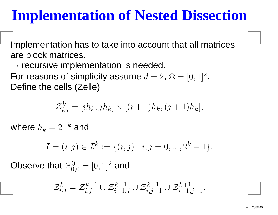Implementation has to take into account that all matricesare block matrices.

 $\rightarrow$  recursive implementation is needed.<br>For reasons of simplicity assume  $d=2$ For reasons of simplicity assume  $d=2,$   $\Omega=[0,1]^2$  .Define the cells (Zelle)

$$
\mathcal{Z}_{i,j}^k = [ih_k, jh_k] \times [(i+1)h_k, (j+1)h_k],
$$

where  $h_k = 2^{-k}$  and

$$
I = (i, j) \in \mathcal{I}^k := \{(i, j) \mid i, j = 0, ..., 2^k - 1\}.
$$

Observe that  $\mathcal{Z}_0^0$  $\overline{0}_{0,0}^0=[0,1]^2$  and

$$
\mathcal{Z}^{k}_{i,j} = \mathcal{Z}^{k+1}_{i,j} \cup \mathcal{Z}^{k+1}_{i+1,j} \cup \mathcal{Z}^{k+1}_{i,j+1} \cup \mathcal{Z}^{k+1}_{i+1,j+1}.
$$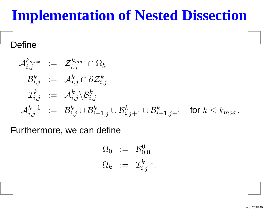#### Define

$$
\mathcal{A}_{i,j}^{k_{max}} := \mathcal{Z}_{i,j}^{k_{max}} \cap \Omega_h
$$
  
\n
$$
\mathcal{B}_{i,j}^k := \mathcal{A}_{i,j}^k \cap \partial \mathcal{Z}_{i,j}^k
$$
  
\n
$$
\mathcal{I}_{i,j}^k := \mathcal{A}_{i,j}^k \backslash \mathcal{B}_{i,j}^k
$$
  
\n
$$
\mathcal{A}_{i,j}^{k-1} := \mathcal{B}_{i,j}^k \cup \mathcal{B}_{i+1,j}^k \cup \mathcal{B}_{i,j+1}^k \cup \mathcal{B}_{i+1,j+1}^k \text{ for } k \leq k_{max}.
$$

Furthermore, we can define

$$
\begin{array}{rcl} \Omega_0 & := & \mathcal{B}_{0,0}^0 \\ \Omega_k & := & \mathcal{I}_{i,j}^{k-1}. \end{array}
$$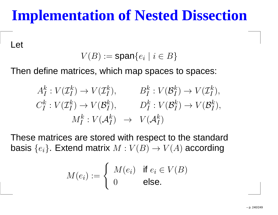Let

 $V(B) := \textsf{span}\{e_i \mid i \in B\}$ 

Then define matrices, which map spaces to spaces:

$$
A_I^k : V(\mathcal{I}_I^k) \to V(\mathcal{I}_I^k), \qquad B_I^k : V(\mathcal{B}_I^k) \to V(\mathcal{I}_I^k),
$$
  

$$
C_I^k : V(\mathcal{I}_I^k) \to V(\mathcal{B}_I^k), \qquad D_I^k : V(\mathcal{B}_I^k) \to V(\mathcal{B}_I^k),
$$
  

$$
M_I^k : V(\mathcal{A}_I^k) \to V(\mathcal{A}_I^k)
$$

These matrices are stored with respect to the standardbasis  $\{e_i\}$ . Extend matrix  $M : V(B) \rightarrow V(A)$  according

$$
M(e_i) := \begin{cases} M(e_i) & \text{if } e_i \in V(B) \\ 0 & \text{else.} \end{cases}
$$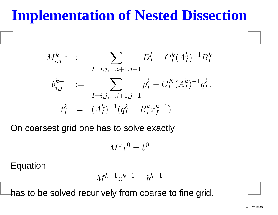$$
M_{i,j}^{k-1} := \sum_{I=i,j,\dots,i+1,j+1} D_I^k - C_I^k (A_I^k)^{-1} B_I^k
$$
  
\n
$$
b_{i,j}^{k-1} := \sum_{I=i,j,\dots,i+1,j+1} p_I^k - C_I^K (A_I^k)^{-1} q_I^k.
$$
  
\n
$$
t_I^k = (A_I^k)^{-1} (q_I^k - B_I^k x_I^{k-1})
$$

On coarsest grid one has to solve exactly

$$
M^0x^0 = b^0
$$

Equation

$$
M^{k-1}x^{k-1} = b^{k-1}
$$

has to be solved recurively from coarse to fine grid.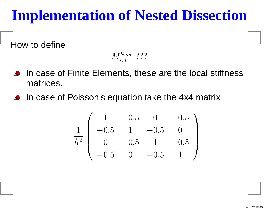How to define

 $M^{k_{max}}_+$  $\tilde{\epsilon}_{i,j}^{Kmax}$ ???

- In case of Finite Elements, these are the local stiffnessmatrices.
- In case of Poisson's equation take the 4x4 matrix

$$
\frac{1}{h^2} \left( \begin{array}{cccc} 1 & -0.5 & 0 & -0.5 \\ -0.5 & 1 & -0.5 & 0 \\ 0 & -0.5 & 1 & -0.5 \\ -0.5 & 0 & -0.5 & 1 \end{array} \right)
$$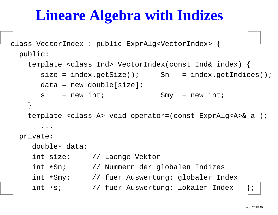class VectorIndex : public ExprAlg<VectorIndex> { public:

template <class Ind> VectorIndex(const Ind& index) {  $size = index.getSize()$ ; Sn =  $index.getIndex()$ ;  $data = new double[size];$  $s = new int;$  Smy = new int; }template <class A> void operator=(const ExprAlg<A>& <sup>a</sup> ); ...private:

double\* data;

int size; // Laenge Vektor int \*Sn; // Nummern der globalen Indizes int \*Smy;  $\hspace{0.5cm}$  // fuer Auswertung: globaler Index int \*s; // fuer Auswertung: lokaler Index |;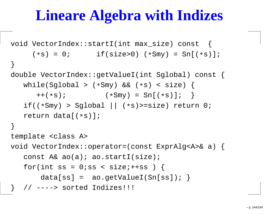```
void VectorIndex::startI(int max_size) const {
     (*s) = 0; if(size>0) (
*Smy) = Sn[(
*s)];}double VectorIndex::getValueI(int Sglobal) const {
   while(Sglobal > (
*Smy) && (
*s) < size) {
      ++(*s); (
*Smy) = Sn[(
*s)]; }
   if((*Smy) > Sglobal || (
*s)>=size) return 0;
   return data[(
*s)];}template <class A>
void VectorIndex::operator=(const ExprAlg<A>& a) {
   const A& ao(a); ao.startI(size);
   for(int ss = 0;ss < size; ++ss ) {
      data[ss] = ao.getValueI(Sn[ss]);
  } // ----> sorted Indizes!!!
```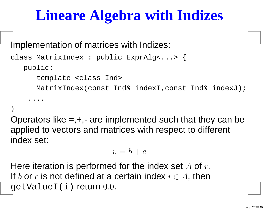Implementation of matrices with Indizes:

```
class MatrixIndex : public ExprAlg<...> {
   public:template <class Ind>
      MatrixIndex(const Ind& indexI,const Ind& indexJ);
    ....}
```
Operators like  $=$ , $+$ , $-$  are implemented such that they can be applied to vectors and matrices with respect to different index set:

$$
v = b + c
$$

Here iteration is performed for the index set  $A$  of  $v$ .<br>If  $l$  and is not defined at a cartain index i.e.  $A$  , then If  $b$  or  $c$  is not defined at a certain index  $i\in A,$  then getValueI(i) return 0.0.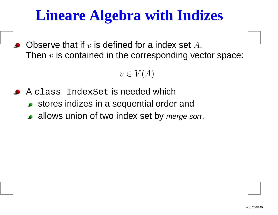Observe that if  $v$  is defined for a index set  $A.$ Then  $v$  is contained in the corresponding vector space:

 $v\in V(A)$ 

- A class IndexSet is needed which
	- stores indizes in <sup>a</sup> sequential order and
	- allows union of two index set by *merge sort*.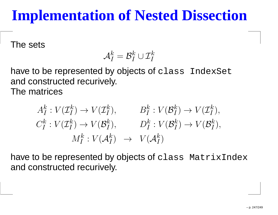The sets

$$
\mathcal{A}_I^k = \mathcal{B}_I^k \cup \mathcal{I}_I^k
$$

have to be represented by objects of class IndexSet and constructed recurively. The matrices

> $A_\mathbf{r}^k$ and the property of the control of the  $\frac{k}{I}: V(\mathcal{I}_I^k$  $\mathcal{I}_I^k) \rightarrow V(\mathcal{I}_I^k)$  $\binom{k}{I}, \qquad B_I^k$  $\mathbf{r}$  and  $\mathbf{r}$  are the set of  $\mathbf{r}$  and  $\mathbf{r}$  and  $\mathbf{r}$  are the set of  $\mathbf{r}$  $\frac{k}{I}: V(\mathcal{B}_I^k$  $_{I}^{k})\rightarrow V(\mathcal{I}_{I}^{k}% ,\mathcal{I}_{I}^{k})\rightarrow V(\mathcal{I}_{I}^{k})$  $_{I}^{\mathcal{\kappa}}),$  $C_{I}^{k}$  $I^k_I: V(\mathcal{I}^k_I)$  $\binom{k}{I}\rightarrow V(\mathcal{B}_{I}^{k}% (\mathcal{B}_{I}^{k})\rightarrow V(\mathcal{B}_{I}^{k}(\mathcal{B}_{I}^{k}(\mathcal{B}\mathcal{B}^{k}^{\prime}% \mathcal{B}))^{2})$  $M_r^k: V(\mathcal{A}_I^k) \longrightarrow$  $\binom{k}{I}, \hspace{1cm} D_I^k$  $\frac{k}{I}: V(\mathcal{B}_I^k$  $_{I}^{k})\rightarrow V(\mathcal{B}_{I}^{k}% ,\mathcal{C}_{I}^{k})\rightarrow V(\mathcal{B}_{I}^{k})^{k}$  $_{I}^{\kappa}),$  $I^k_I: V(\mathcal{A}^k_I)$  $\begin{array}{ccc} k_I) & \rightarrow & V(\mathcal{A}^k_I) \end{array}$  $\frac{\kappa}{I})$

have to be represented by objects of class MatrixIndex and constructed recurively.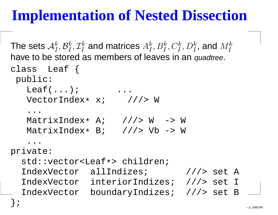```
The sets \mathcal{A}_I^khe stored as members of leaves in an quadtre
           _{I}^{k},\mathcal{B}_{I}^{k}_{I}^{k},\mathcal{I}_{I}^{k}
I\mathcal{A}^k_I and matrices \mathcal{A}^k_I
I_{I}^{k},B_{I}^{k}
I_{I}^{k},C_{I}^{k}
Ij_I^k, D_I^k
I_{I}^{k}, and M_{I}^{k}
Ihave to be stored as members of leaves in an quadtree.
class Leaf {
 public:
Leaf(...); ...
    VectorIndex* x; ///> W
     ...
MatrixIndex* A; ///> W -> W

MatrixIndex* B; ///> Vb -> W
     . .

private:
std::vector<Leaf*> children;

IndexVector allIndizes; ///> set A
  IndexVector interiorIndizes; ///> set I
  IndexVector boundaryIndizes; ///> set B
};
```